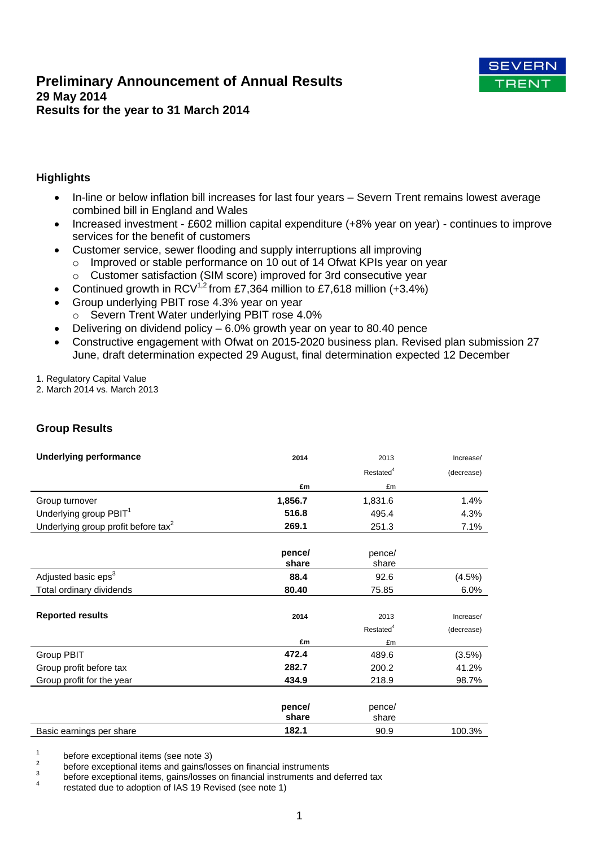# **Preliminary Announcement of Annual Results 29 May 2014 Results for the year to 31 March 2014**



# **Highlights**

- In-line or below inflation bill increases for last four years Severn Trent remains lowest average combined bill in England and Wales
- Increased investment £602 million capital expenditure (+8% year on year) continues to improve services for the benefit of customers
- Customer service, sewer flooding and supply interruptions all improving
	- o Improved or stable performance on 10 out of 14 Ofwat KPIs year on year
	- o Customer satisfaction (SIM score) improved for 3rd consecutive year
- Continued growth in  $RCV^{1,2}$  from £7,364 million to £7,618 million (+3.4%)
- Group underlying PBIT rose 4.3% year on year o Severn Trent Water underlying PBIT rose 4.0%
- Delivering on dividend policy 6.0% growth year on year to 80.40 pence
- Constructive engagement with Ofwat on 2015-2020 business plan. Revised plan submission 27 June, draft determination expected 29 August, final determination expected 12 December

1. Regulatory Capital Value

2. March 2014 vs. March 2013

# **Group Results**

| <b>Underlying performance</b>                   | 2014    | 2013                  | Increase/  |
|-------------------------------------------------|---------|-----------------------|------------|
|                                                 |         | Restated <sup>4</sup> | (decrease) |
|                                                 | £m      | £m                    |            |
| Group turnover                                  | 1,856.7 | 1,831.6               | 1.4%       |
| Underlying group PBIT <sup>1</sup>              | 516.8   | 495.4                 | 4.3%       |
| Underlying group profit before tax <sup>2</sup> | 269.1   | 251.3                 | 7.1%       |
|                                                 |         |                       |            |
|                                                 | pence/  | pence/                |            |
|                                                 | share   | share                 |            |
| Adjusted basic eps <sup>3</sup>                 | 88.4    | 92.6                  | (4.5%)     |
| Total ordinary dividends                        | 80.40   | 75.85                 | 6.0%       |
|                                                 |         |                       |            |
| <b>Reported results</b>                         | 2014    | 2013                  | Increase/  |
|                                                 |         | Restated <sup>4</sup> | (decrease) |
|                                                 | £m      | £m                    |            |
| Group PBIT                                      | 472.4   | 489.6                 | (3.5%)     |
| Group profit before tax                         | 282.7   | 200.2                 | 41.2%      |
| Group profit for the year                       | 434.9   | 218.9                 | 98.7%      |
|                                                 |         |                       |            |
|                                                 | pence/  | pence/                |            |
|                                                 | share   | share                 |            |
| Basic earnings per share                        | 182.1   | 90.9                  | 100.3%     |

1 before exceptional items (see note 3)

3 before exceptional items, gains/losses on financial instruments and deferred tax

4 restated due to adoption of IAS 19 Revised (see note 1)

 $\overline{2}$ before exceptional items and gains/losses on financial instruments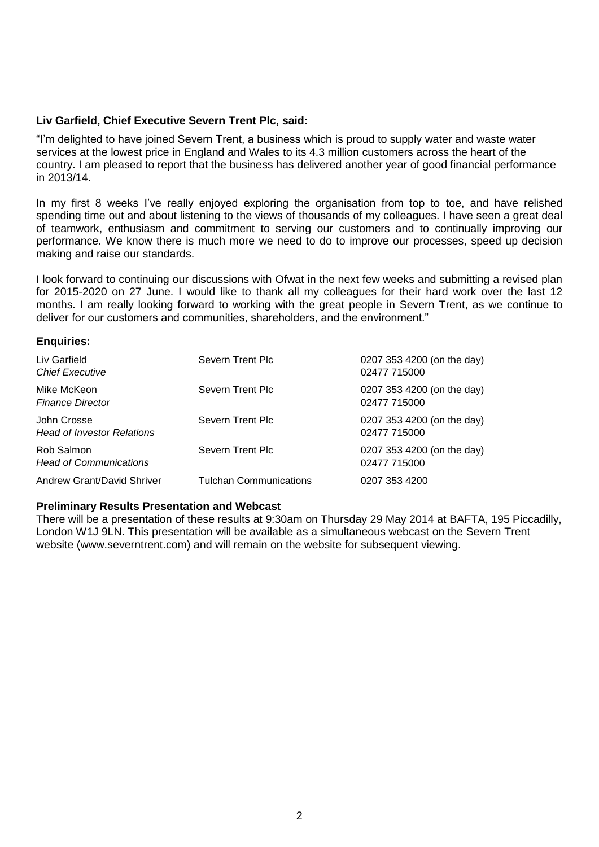### **Liv Garfield, Chief Executive Severn Trent Plc, said:**

"I'm delighted to have joined Severn Trent, a business which is proud to supply water and waste water services at the lowest price in England and Wales to its 4.3 million customers across the heart of the country. I am pleased to report that the business has delivered another year of good financial performance in 2013/14.

In my first 8 weeks I've really enjoyed exploring the organisation from top to toe, and have relished spending time out and about listening to the views of thousands of my colleagues. I have seen a great deal of teamwork, enthusiasm and commitment to serving our customers and to continually improving our performance. We know there is much more we need to do to improve our processes, speed up decision making and raise our standards.

I look forward to continuing our discussions with Ofwat in the next few weeks and submitting a revised plan for 2015-2020 on 27 June. I would like to thank all my colleagues for their hard work over the last 12 months. I am really looking forward to working with the great people in Severn Trent, as we continue to deliver for our customers and communities, shareholders, and the environment."

### **Enquiries:**

| Liv Garfield<br><b>Chief Executive</b>           | Severn Trent Plc              | 0207 353 4200 (on the day)<br>02477 715000 |
|--------------------------------------------------|-------------------------------|--------------------------------------------|
| Mike McKeon<br><b>Finance Director</b>           | Severn Trent Plc              | 0207 353 4200 (on the day)<br>02477 715000 |
| John Crosse<br><b>Head of Investor Relations</b> | Severn Trent Plc              | 0207 353 4200 (on the day)<br>02477 715000 |
| Rob Salmon<br><b>Head of Communications</b>      | Severn Trent Plc              | 0207 353 4200 (on the day)<br>02477 715000 |
| Andrew Grant/David Shriver                       | <b>Tulchan Communications</b> | 0207 353 4200                              |

### **Preliminary Results Presentation and Webcast**

There will be a presentation of these results at 9:30am on Thursday 29 May 2014 at BAFTA, 195 Piccadilly, London W1J 9LN. This presentation will be available as a simultaneous webcast on the Severn Trent website (www.severntrent.com) and will remain on the website for subsequent viewing.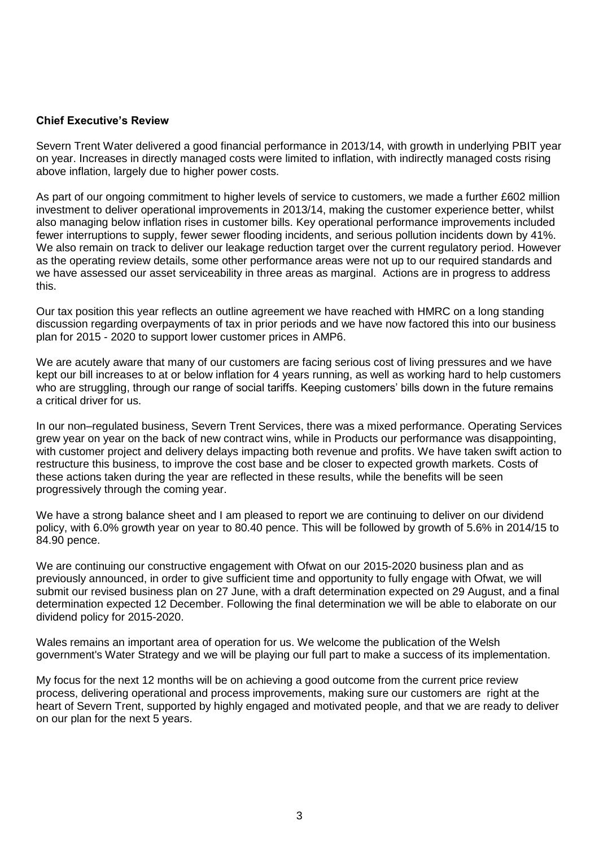### **Chief Executive's Review**

Severn Trent Water delivered a good financial performance in 2013/14, with growth in underlying PBIT year on year. Increases in directly managed costs were limited to inflation, with indirectly managed costs rising above inflation, largely due to higher power costs.

As part of our ongoing commitment to higher levels of service to customers, we made a further £602 million investment to deliver operational improvements in 2013/14, making the customer experience better, whilst also managing below inflation rises in customer bills. Key operational performance improvements included fewer interruptions to supply, fewer sewer flooding incidents, and serious pollution incidents down by 41%. We also remain on track to deliver our leakage reduction target over the current regulatory period. However as the operating review details, some other performance areas were not up to our required standards and we have assessed our asset serviceability in three areas as marginal. Actions are in progress to address this.

Our tax position this year reflects an outline agreement we have reached with HMRC on a long standing discussion regarding overpayments of tax in prior periods and we have now factored this into our business plan for 2015 - 2020 to support lower customer prices in AMP6.

We are acutely aware that many of our customers are facing serious cost of living pressures and we have kept our bill increases to at or below inflation for 4 years running, as well as working hard to help customers who are struggling, through our range of social tariffs. Keeping customers' bills down in the future remains a critical driver for us.

In our non–regulated business, Severn Trent Services, there was a mixed performance. Operating Services grew year on year on the back of new contract wins, while in Products our performance was disappointing, with customer project and delivery delays impacting both revenue and profits. We have taken swift action to restructure this business, to improve the cost base and be closer to expected growth markets. Costs of these actions taken during the year are reflected in these results, while the benefits will be seen progressively through the coming year.

We have a strong balance sheet and I am pleased to report we are continuing to deliver on our dividend policy, with 6.0% growth year on year to 80.40 pence. This will be followed by growth of 5.6% in 2014/15 to 84.90 pence.

We are continuing our constructive engagement with Ofwat on our 2015-2020 business plan and as previously announced, in order to give sufficient time and opportunity to fully engage with Ofwat, we will submit our revised business plan on 27 June, with a draft determination expected on 29 August, and a final determination expected 12 December. Following the final determination we will be able to elaborate on our dividend policy for 2015-2020.

Wales remains an important area of operation for us. We welcome the publication of the Welsh government's Water Strategy and we will be playing our full part to make a success of its implementation.

My focus for the next 12 months will be on achieving a good outcome from the current price review process, delivering operational and process improvements, making sure our customers are right at the heart of Severn Trent, supported by highly engaged and motivated people, and that we are ready to deliver on our plan for the next 5 years.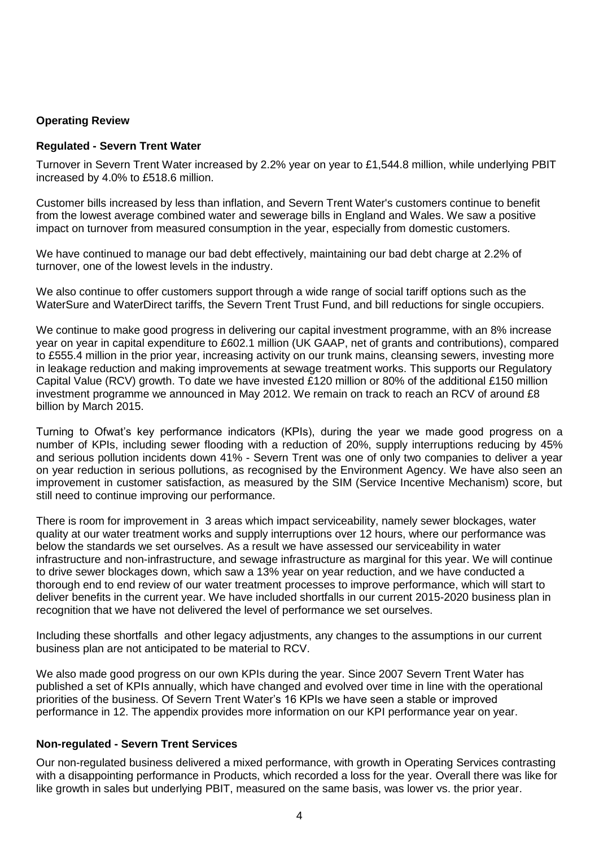# **Operating Review**

### **Regulated - Severn Trent Water**

Turnover in Severn Trent Water increased by 2.2% year on year to £1,544.8 million, while underlying PBIT increased by 4.0% to £518.6 million.

Customer bills increased by less than inflation, and Severn Trent Water's customers continue to benefit from the lowest average combined water and sewerage bills in England and Wales. We saw a positive impact on turnover from measured consumption in the year, especially from domestic customers.

We have continued to manage our bad debt effectively, maintaining our bad debt charge at 2.2% of turnover, one of the lowest levels in the industry.

We also continue to offer customers support through a wide range of social tariff options such as the WaterSure and WaterDirect tariffs, the Severn Trent Trust Fund, and bill reductions for single occupiers.

We continue to make good progress in delivering our capital investment programme, with an 8% increase year on year in capital expenditure to £602.1 million (UK GAAP, net of grants and contributions), compared to £555.4 million in the prior year, increasing activity on our trunk mains, cleansing sewers, investing more in leakage reduction and making improvements at sewage treatment works. This supports our Regulatory Capital Value (RCV) growth. To date we have invested £120 million or 80% of the additional £150 million investment programme we announced in May 2012. We remain on track to reach an RCV of around £8 billion by March 2015.

Turning to Ofwat's key performance indicators (KPIs), during the year we made good progress on a number of KPIs, including sewer flooding with a reduction of 20%, supply interruptions reducing by 45% and serious pollution incidents down 41% - Severn Trent was one of only two companies to deliver a year on year reduction in serious pollutions, as recognised by the Environment Agency. We have also seen an improvement in customer satisfaction, as measured by the SIM (Service Incentive Mechanism) score, but still need to continue improving our performance.

There is room for improvement in 3 areas which impact serviceability, namely sewer blockages, water quality at our water treatment works and supply interruptions over 12 hours, where our performance was below the standards we set ourselves. As a result we have assessed our serviceability in water infrastructure and non-infrastructure, and sewage infrastructure as marginal for this year. We will continue to drive sewer blockages down, which saw a 13% year on year reduction, and we have conducted a thorough end to end review of our water treatment processes to improve performance, which will start to deliver benefits in the current year. We have included shortfalls in our current 2015-2020 business plan in recognition that we have not delivered the level of performance we set ourselves.

Including these shortfalls and other legacy adjustments, any changes to the assumptions in our current business plan are not anticipated to be material to RCV.

We also made good progress on our own KPIs during the year. Since 2007 Severn Trent Water has published a set of KPIs annually, which have changed and evolved over time in line with the operational priorities of the business. Of Severn Trent Water's 16 KPIs we have seen a stable or improved performance in 12. The appendix provides more information on our KPI performance year on year.

# **Non-regulated - Severn Trent Services**

Our non-regulated business delivered a mixed performance, with growth in Operating Services contrasting with a disappointing performance in Products, which recorded a loss for the year. Overall there was like for like growth in sales but underlying PBIT, measured on the same basis, was lower vs. the prior year.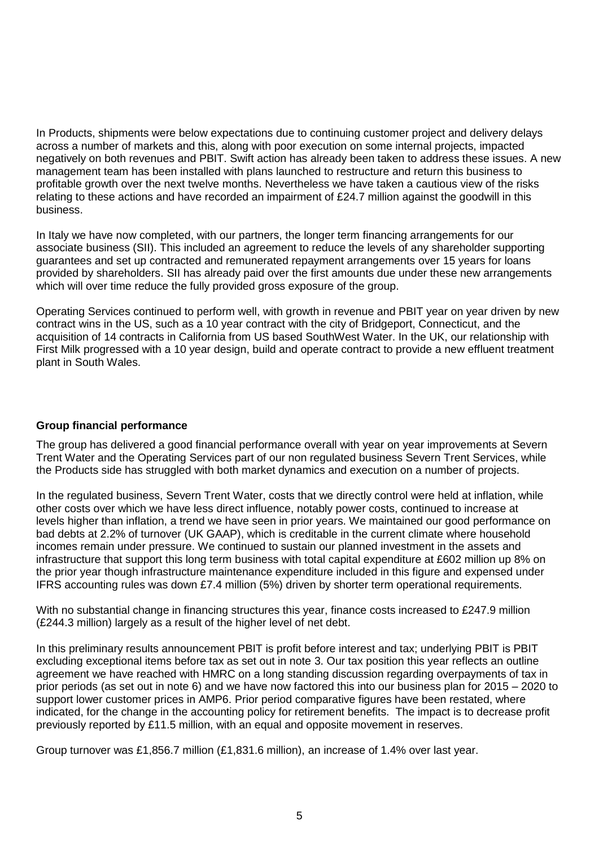In Products, shipments were below expectations due to continuing customer project and delivery delays across a number of markets and this, along with poor execution on some internal projects, impacted negatively on both revenues and PBIT. Swift action has already been taken to address these issues. A new management team has been installed with plans launched to restructure and return this business to profitable growth over the next twelve months. Nevertheless we have taken a cautious view of the risks relating to these actions and have recorded an impairment of £24.7 million against the goodwill in this business.

In Italy we have now completed, with our partners, the longer term financing arrangements for our associate business (SII). This included an agreement to reduce the levels of any shareholder supporting guarantees and set up contracted and remunerated repayment arrangements over 15 years for loans provided by shareholders. SII has already paid over the first amounts due under these new arrangements which will over time reduce the fully provided gross exposure of the group.

Operating Services continued to perform well, with growth in revenue and PBIT year on year driven by new contract wins in the US, such as a 10 year contract with the city of Bridgeport, Connecticut, and the acquisition of 14 contracts in California from US based SouthWest Water. In the UK, our relationship with First Milk progressed with a 10 year design, build and operate contract to provide a new effluent treatment plant in South Wales.

# **Group financial performance**

The group has delivered a good financial performance overall with year on year improvements at Severn Trent Water and the Operating Services part of our non regulated business Severn Trent Services, while the Products side has struggled with both market dynamics and execution on a number of projects.

In the regulated business, Severn Trent Water, costs that we directly control were held at inflation, while other costs over which we have less direct influence, notably power costs, continued to increase at levels higher than inflation, a trend we have seen in prior years. We maintained our good performance on bad debts at 2.2% of turnover (UK GAAP), which is creditable in the current climate where household incomes remain under pressure. We continued to sustain our planned investment in the assets and infrastructure that support this long term business with total capital expenditure at £602 million up 8% on the prior year though infrastructure maintenance expenditure included in this figure and expensed under IFRS accounting rules was down £7.4 million (5%) driven by shorter term operational requirements.

With no substantial change in financing structures this year, finance costs increased to £247.9 million (£244.3 million) largely as a result of the higher level of net debt.

In this preliminary results announcement PBIT is profit before interest and tax; underlying PBIT is PBIT excluding exceptional items before tax as set out in note 3. Our tax position this year reflects an outline agreement we have reached with HMRC on a long standing discussion regarding overpayments of tax in prior periods (as set out in note 6) and we have now factored this into our business plan for 2015 – 2020 to support lower customer prices in AMP6. Prior period comparative figures have been restated, where indicated, for the change in the accounting policy for retirement benefits. The impact is to decrease profit previously reported by £11.5 million, with an equal and opposite movement in reserves.

Group turnover was £1,856.7 million (£1,831.6 million), an increase of 1.4% over last year.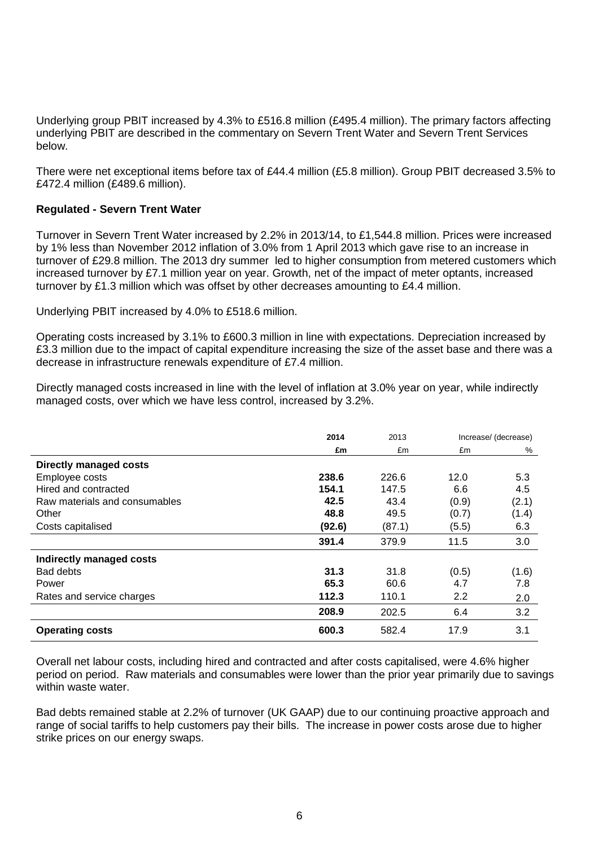Underlying group PBIT increased by 4.3% to £516.8 million (£495.4 million). The primary factors affecting underlying PBIT are described in the commentary on Severn Trent Water and Severn Trent Services below.

There were net exceptional items before tax of £44.4 million (£5.8 million). Group PBIT decreased 3.5% to £472.4 million (£489.6 million).

# **Regulated - Severn Trent Water**

Turnover in Severn Trent Water increased by 2.2% in 2013/14, to £1,544.8 million. Prices were increased by 1% less than November 2012 inflation of 3.0% from 1 April 2013 which gave rise to an increase in turnover of £29.8 million. The 2013 dry summer led to higher consumption from metered customers which increased turnover by £7.1 million year on year. Growth, net of the impact of meter optants, increased turnover by £1.3 million which was offset by other decreases amounting to £4.4 million.

Underlying PBIT increased by 4.0% to £518.6 million.

Operating costs increased by 3.1% to £600.3 million in line with expectations. Depreciation increased by £3.3 million due to the impact of capital expenditure increasing the size of the asset base and there was a decrease in infrastructure renewals expenditure of £7.4 million.

Directly managed costs increased in line with the level of inflation at 3.0% year on year, while indirectly managed costs, over which we have less control, increased by 3.2%.

|                               | 2014<br>2013 |        | Increase/ (decrease) |       |
|-------------------------------|--------------|--------|----------------------|-------|
|                               | £m           | £m     | £m                   | %     |
| Directly managed costs        |              |        |                      |       |
| Employee costs                | 238.6        | 226.6  | 12.0                 | 5.3   |
| Hired and contracted          | 154.1        | 147.5  | 6.6                  | 4.5   |
| Raw materials and consumables | 42.5         | 43.4   | (0.9)                | (2.1) |
| Other                         | 48.8         | 49.5   | (0.7)                | (1.4) |
| Costs capitalised             | (92.6)       | (87.1) | (5.5)                | 6.3   |
|                               | 391.4        | 379.9  | 11.5                 | 3.0   |
| Indirectly managed costs      |              |        |                      |       |
| <b>Bad debts</b>              | 31.3         | 31.8   | (0.5)                | (1.6) |
| Power                         | 65.3         | 60.6   | 4.7                  | 7.8   |
| Rates and service charges     | 112.3        | 110.1  | 2.2                  | 2.0   |
|                               | 208.9        | 202.5  | 6.4                  | 3.2   |
| <b>Operating costs</b>        | 600.3        | 582.4  | 17.9                 | 3.1   |

Overall net labour costs, including hired and contracted and after costs capitalised, were 4.6% higher period on period. Raw materials and consumables were lower than the prior year primarily due to savings within waste water.

Bad debts remained stable at 2.2% of turnover (UK GAAP) due to our continuing proactive approach and range of social tariffs to help customers pay their bills. The increase in power costs arose due to higher strike prices on our energy swaps.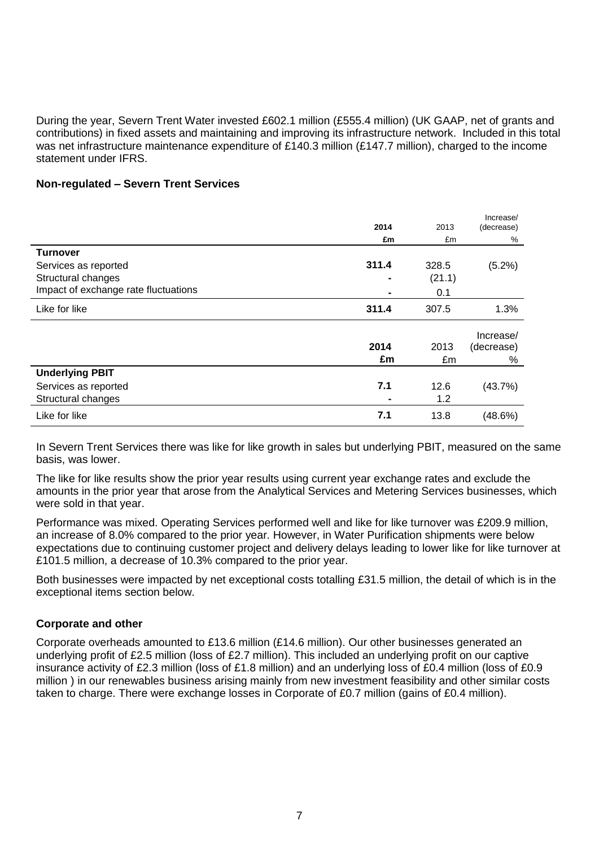During the year, Severn Trent Water invested £602.1 million (£555.4 million) (UK GAAP, net of grants and contributions) in fixed assets and maintaining and improving its infrastructure network. Included in this total was net infrastructure maintenance expenditure of £140.3 million (£147.7 million), charged to the income statement under IFRS.

### **Non-regulated – Severn Trent Services**

|                                      | 2014           | 2013   | Increase/<br>(decrease) |
|--------------------------------------|----------------|--------|-------------------------|
|                                      | £m             | £m     | %                       |
| <b>Turnover</b>                      |                |        |                         |
| Services as reported                 | 311.4          | 328.5  | (5.2%)                  |
| Structural changes                   |                | (21.1) |                         |
| Impact of exchange rate fluctuations |                | 0.1    |                         |
| Like for like                        | 311.4          | 307.5  | 1.3%                    |
|                                      |                |        | Increase/               |
|                                      | 2014           | 2013   | (decrease)              |
|                                      | £m             | £m     | %                       |
| <b>Underlying PBIT</b>               |                |        |                         |
| Services as reported                 | 7.1            | 12.6   | (43.7%)                 |
| Structural changes                   | $\blacksquare$ | 1.2    |                         |
| Like for like                        | 7.1            | 13.8   | (48.6%)                 |

In Severn Trent Services there was like for like growth in sales but underlying PBIT, measured on the same basis, was lower.

The like for like results show the prior year results using current year exchange rates and exclude the amounts in the prior year that arose from the Analytical Services and Metering Services businesses, which were sold in that year.

Performance was mixed. Operating Services performed well and like for like turnover was £209.9 million, an increase of 8.0% compared to the prior year. However, in Water Purification shipments were below expectations due to continuing customer project and delivery delays leading to lower like for like turnover at £101.5 million, a decrease of 10.3% compared to the prior year.

Both businesses were impacted by net exceptional costs totalling £31.5 million, the detail of which is in the exceptional items section below.

# **Corporate and other**

Corporate overheads amounted to £13.6 million (£14.6 million). Our other businesses generated an underlying profit of £2.5 million (loss of £2.7 million). This included an underlying profit on our captive insurance activity of £2.3 million (loss of £1.8 million) and an underlying loss of £0.4 million (loss of £0.9 million ) in our renewables business arising mainly from new investment feasibility and other similar costs taken to charge. There were exchange losses in Corporate of £0.7 million (gains of £0.4 million).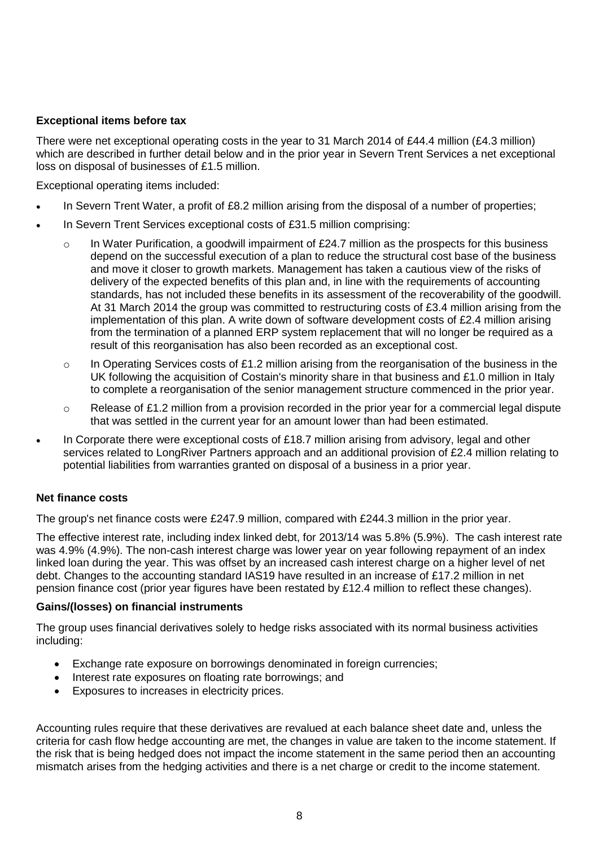# **Exceptional items before tax**

There were net exceptional operating costs in the year to 31 March 2014 of £44.4 million (£4.3 million) which are described in further detail below and in the prior year in Severn Trent Services a net exceptional loss on disposal of businesses of £1.5 million.

Exceptional operating items included:

- In Severn Trent Water, a profit of £8.2 million arising from the disposal of a number of properties;
- In Severn Trent Services exceptional costs of £31.5 million comprising:
	- o In Water Purification, a goodwill impairment of £24.7 million as the prospects for this business depend on the successful execution of a plan to reduce the structural cost base of the business and move it closer to growth markets. Management has taken a cautious view of the risks of delivery of the expected benefits of this plan and, in line with the requirements of accounting standards, has not included these benefits in its assessment of the recoverability of the goodwill. At 31 March 2014 the group was committed to restructuring costs of £3.4 million arising from the implementation of this plan. A write down of software development costs of £2.4 million arising from the termination of a planned ERP system replacement that will no longer be required as a result of this reorganisation has also been recorded as an exceptional cost.
	- $\circ$  In Operating Services costs of £1.2 million arising from the reorganisation of the business in the UK following the acquisition of Costain's minority share in that business and £1.0 million in Italy to complete a reorganisation of the senior management structure commenced in the prior year.
	- $\circ$  Release of £1.2 million from a provision recorded in the prior year for a commercial legal dispute that was settled in the current year for an amount lower than had been estimated.
- In Corporate there were exceptional costs of £18.7 million arising from advisory, legal and other services related to LongRiver Partners approach and an additional provision of £2.4 million relating to potential liabilities from warranties granted on disposal of a business in a prior year.

# **Net finance costs**

The group's net finance costs were £247.9 million, compared with £244.3 million in the prior year.

The effective interest rate, including index linked debt, for 2013/14 was 5.8% (5.9%). The cash interest rate was 4.9% (4.9%). The non-cash interest charge was lower year on year following repayment of an index linked loan during the year. This was offset by an increased cash interest charge on a higher level of net debt. Changes to the accounting standard IAS19 have resulted in an increase of £17.2 million in net pension finance cost (prior year figures have been restated by £12.4 million to reflect these changes).

# **Gains/(losses) on financial instruments**

The group uses financial derivatives solely to hedge risks associated with its normal business activities including:

- Exchange rate exposure on borrowings denominated in foreign currencies;
- Interest rate exposures on floating rate borrowings; and
- Exposures to increases in electricity prices.

Accounting rules require that these derivatives are revalued at each balance sheet date and, unless the criteria for cash flow hedge accounting are met, the changes in value are taken to the income statement. If the risk that is being hedged does not impact the income statement in the same period then an accounting mismatch arises from the hedging activities and there is a net charge or credit to the income statement.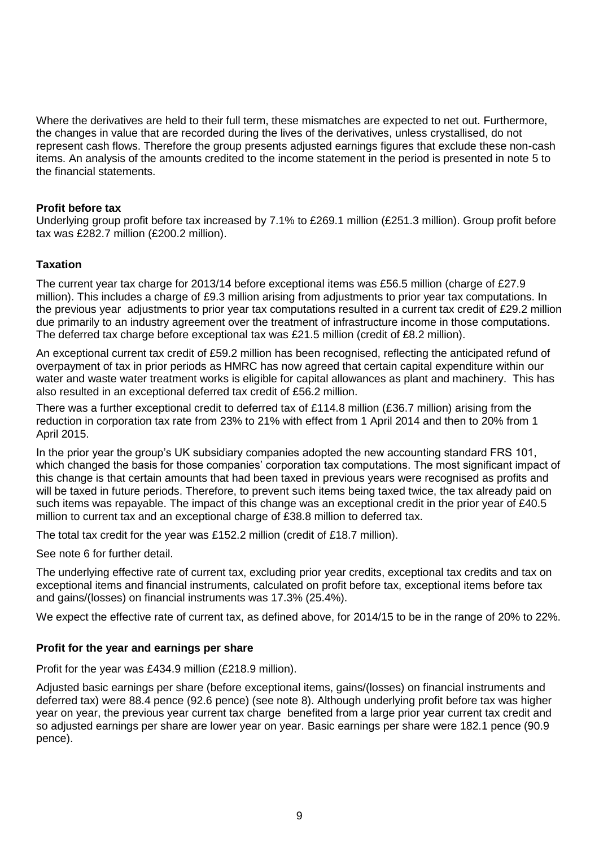Where the derivatives are held to their full term, these mismatches are expected to net out. Furthermore, the changes in value that are recorded during the lives of the derivatives, unless crystallised, do not represent cash flows. Therefore the group presents adjusted earnings figures that exclude these non-cash items. An analysis of the amounts credited to the income statement in the period is presented in note 5 to the financial statements.

# **Profit before tax**

Underlying group profit before tax increased by 7.1% to £269.1 million (£251.3 million). Group profit before tax was £282.7 million (£200.2 million).

# **Taxation**

The current year tax charge for 2013/14 before exceptional items was £56.5 million (charge of £27.9 million). This includes a charge of £9.3 million arising from adjustments to prior year tax computations. In the previous year adjustments to prior year tax computations resulted in a current tax credit of £29.2 million due primarily to an industry agreement over the treatment of infrastructure income in those computations. The deferred tax charge before exceptional tax was £21.5 million (credit of £8.2 million).

An exceptional current tax credit of £59.2 million has been recognised, reflecting the anticipated refund of overpayment of tax in prior periods as HMRC has now agreed that certain capital expenditure within our water and waste water treatment works is eligible for capital allowances as plant and machinery. This has also resulted in an exceptional deferred tax credit of £56.2 million.

There was a further exceptional credit to deferred tax of £114.8 million (£36.7 million) arising from the reduction in corporation tax rate from 23% to 21% with effect from 1 April 2014 and then to 20% from 1 April 2015.

In the prior year the group's UK subsidiary companies adopted the new accounting standard FRS 101, which changed the basis for those companies' corporation tax computations. The most significant impact of this change is that certain amounts that had been taxed in previous years were recognised as profits and will be taxed in future periods. Therefore, to prevent such items being taxed twice, the tax already paid on such items was repayable. The impact of this change was an exceptional credit in the prior year of £40.5 million to current tax and an exceptional charge of £38.8 million to deferred tax.

The total tax credit for the year was £152.2 million (credit of £18.7 million).

See note 6 for further detail.

The underlying effective rate of current tax, excluding prior year credits, exceptional tax credits and tax on exceptional items and financial instruments, calculated on profit before tax, exceptional items before tax and gains/(losses) on financial instruments was 17.3% (25.4%).

We expect the effective rate of current tax, as defined above, for 2014/15 to be in the range of 20% to 22%.

# **Profit for the year and earnings per share**

Profit for the year was £434.9 million (£218.9 million).

Adjusted basic earnings per share (before exceptional items, gains/(losses) on financial instruments and deferred tax) were 88.4 pence (92.6 pence) (see note 8). Although underlying profit before tax was higher year on year, the previous year current tax charge benefited from a large prior year current tax credit and so adjusted earnings per share are lower year on year. Basic earnings per share were 182.1 pence (90.9 pence).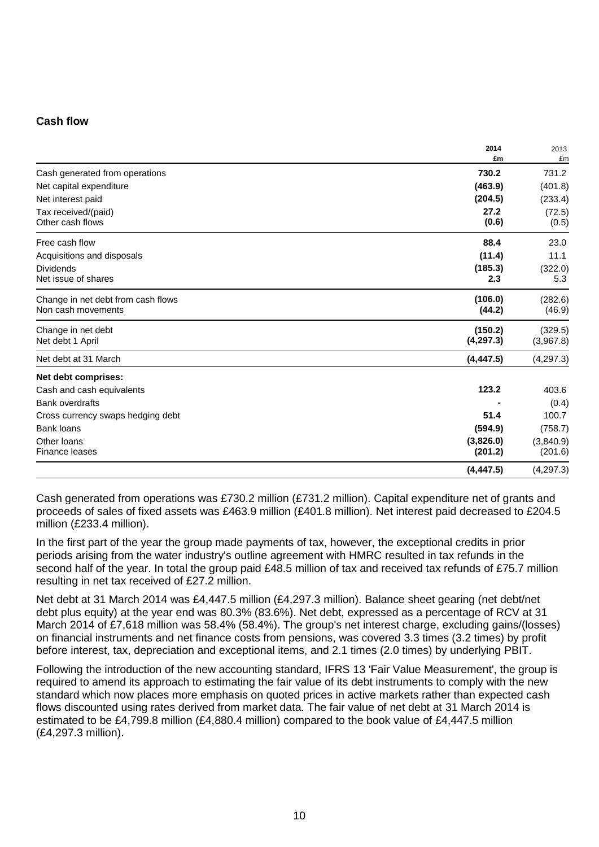# **Cash flow**

|                                         | 2014<br>£m | 2013<br>£m      |
|-----------------------------------------|------------|-----------------|
| Cash generated from operations          | 730.2      | 731.2           |
|                                         | (463.9)    | (401.8)         |
| Net capital expenditure                 | (204.5)    |                 |
| Net interest paid                       | 27.2       | (233.4)         |
| Tax received/(paid)<br>Other cash flows | (0.6)      | (72.5)<br>(0.5) |
| Free cash flow                          | 88.4       | 23.0            |
| Acquisitions and disposals              | (11.4)     | 11.1            |
| <b>Dividends</b>                        | (185.3)    | (322.0)         |
| Net issue of shares                     | 2.3        | 5.3             |
| Change in net debt from cash flows      | (106.0)    | (282.6)         |
| Non cash movements                      | (44.2)     | (46.9)          |
| Change in net debt                      | (150.2)    | (329.5)         |
| Net debt 1 April                        | (4, 297.3) | (3,967.8)       |
| Net debt at 31 March                    | (4, 447.5) | (4, 297.3)      |
| Net debt comprises:                     |            |                 |
| Cash and cash equivalents               | 123.2      | 403.6           |
| <b>Bank overdrafts</b>                  |            | (0.4)           |
| Cross currency swaps hedging debt       | 51.4       | 100.7           |
| Bank loans                              | (594.9)    | (758.7)         |
| Other Ioans                             | (3,826.0)  | (3,840.9)       |
| Finance leases                          | (201.2)    | (201.6)         |
|                                         | (4, 447.5) | (4, 297.3)      |

Cash generated from operations was £730.2 million (£731.2 million). Capital expenditure net of grants and proceeds of sales of fixed assets was £463.9 million (£401.8 million). Net interest paid decreased to £204.5 million (£233.4 million).

In the first part of the year the group made payments of tax, however, the exceptional credits in prior periods arising from the water industry's outline agreement with HMRC resulted in tax refunds in the second half of the year. In total the group paid £48.5 million of tax and received tax refunds of £75.7 million resulting in net tax received of £27.2 million.

Net debt at 31 March 2014 was £4,447.5 million (£4,297.3 million). Balance sheet gearing (net debt/net debt plus equity) at the year end was 80.3% (83.6%). Net debt, expressed as a percentage of RCV at 31 March 2014 of £7,618 million was 58.4% (58.4%). The group's net interest charge, excluding gains/(losses) on financial instruments and net finance costs from pensions, was covered 3.3 times (3.2 times) by profit before interest, tax, depreciation and exceptional items, and 2.1 times (2.0 times) by underlying PBIT.

Following the introduction of the new accounting standard, IFRS 13 'Fair Value Measurement', the group is required to amend its approach to estimating the fair value of its debt instruments to comply with the new standard which now places more emphasis on quoted prices in active markets rather than expected cash flows discounted using rates derived from market data. The fair value of net debt at 31 March 2014 is estimated to be £4,799.8 million (£4,880.4 million) compared to the book value of £4,447.5 million (£4,297.3 million).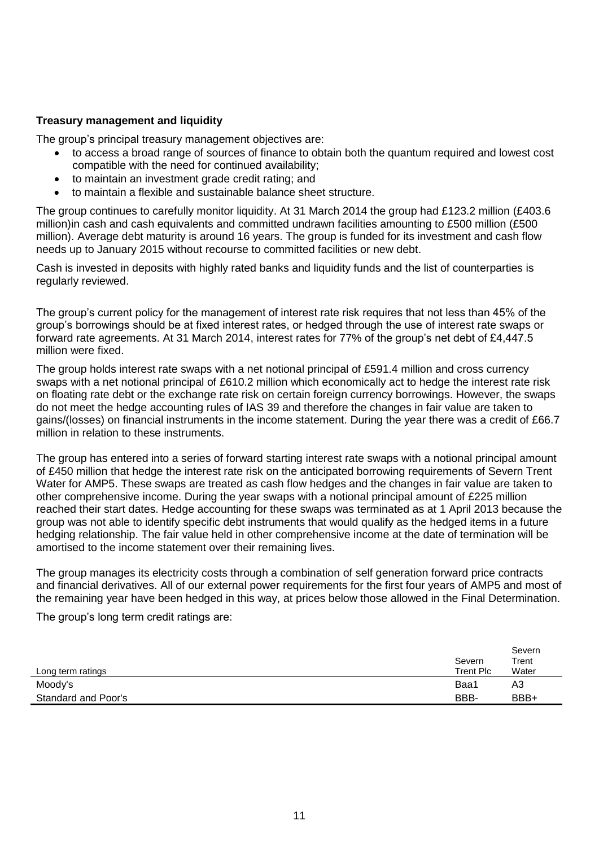# **Treasury management and liquidity**

The group's principal treasury management objectives are:

- to access a broad range of sources of finance to obtain both the quantum required and lowest cost compatible with the need for continued availability;
- to maintain an investment grade credit rating; and
- to maintain a flexible and sustainable balance sheet structure.

The group continues to carefully monitor liquidity. At 31 March 2014 the group had £123.2 million (£403.6 million)in cash and cash equivalents and committed undrawn facilities amounting to £500 million (£500 million). Average debt maturity is around 16 years. The group is funded for its investment and cash flow needs up to January 2015 without recourse to committed facilities or new debt.

Cash is invested in deposits with highly rated banks and liquidity funds and the list of counterparties is regularly reviewed.

The group's current policy for the management of interest rate risk requires that not less than 45% of the group's borrowings should be at fixed interest rates, or hedged through the use of interest rate swaps or forward rate agreements. At 31 March 2014, interest rates for 77% of the group's net debt of £4,447.5 million were fixed.

The group holds interest rate swaps with a net notional principal of £591.4 million and cross currency swaps with a net notional principal of £610.2 million which economically act to hedge the interest rate risk on floating rate debt or the exchange rate risk on certain foreign currency borrowings. However, the swaps do not meet the hedge accounting rules of IAS 39 and therefore the changes in fair value are taken to gains/(losses) on financial instruments in the income statement. During the year there was a credit of £66.7 million in relation to these instruments.

The group has entered into a series of forward starting interest rate swaps with a notional principal amount of £450 million that hedge the interest rate risk on the anticipated borrowing requirements of Severn Trent Water for AMP5. These swaps are treated as cash flow hedges and the changes in fair value are taken to other comprehensive income. During the year swaps with a notional principal amount of £225 million reached their start dates. Hedge accounting for these swaps was terminated as at 1 April 2013 because the group was not able to identify specific debt instruments that would qualify as the hedged items in a future hedging relationship. The fair value held in other comprehensive income at the date of termination will be amortised to the income statement over their remaining lives.

The group manages its electricity costs through a combination of self generation forward price contracts and financial derivatives. All of our external power requirements for the first four years of AMP5 and most of the remaining year have been hedged in this way, at prices below those allowed in the Final Determination.

The group's long term credit ratings are:

|                     | Severn    | Severn<br>Trent |
|---------------------|-----------|-----------------|
| Long term ratings   | Trent Plc | Water           |
| Moody's             | Baa1      | A3              |
| Standard and Poor's | BBB-      | BBB+            |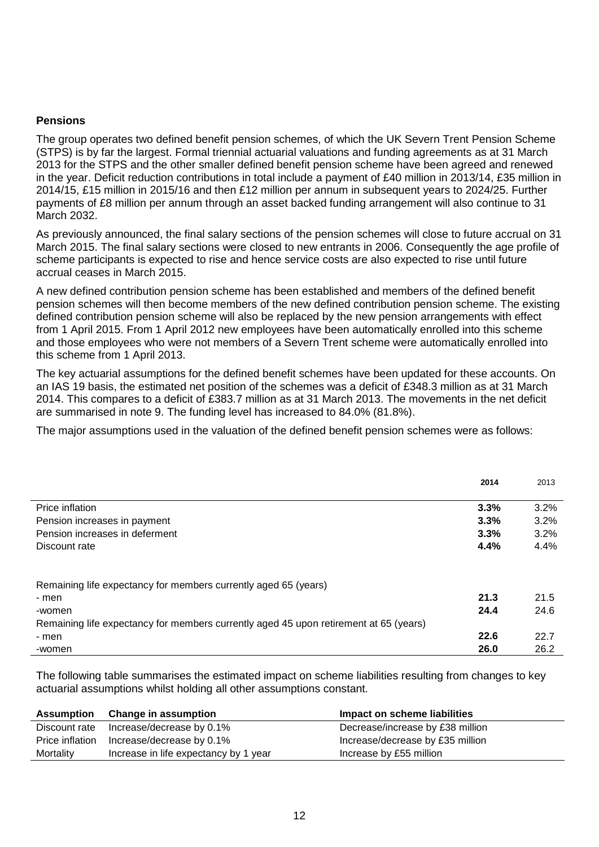### **Pensions**

The group operates two defined benefit pension schemes, of which the UK Severn Trent Pension Scheme (STPS) is by far the largest. Formal triennial actuarial valuations and funding agreements as at 31 March 2013 for the STPS and the other smaller defined benefit pension scheme have been agreed and renewed in the year. Deficit reduction contributions in total include a payment of £40 million in 2013/14, £35 million in 2014/15, £15 million in 2015/16 and then £12 million per annum in subsequent years to 2024/25. Further payments of £8 million per annum through an asset backed funding arrangement will also continue to 31 March 2032.

As previously announced, the final salary sections of the pension schemes will close to future accrual on 31 March 2015. The final salary sections were closed to new entrants in 2006. Consequently the age profile of scheme participants is expected to rise and hence service costs are also expected to rise until future accrual ceases in March 2015.

A new defined contribution pension scheme has been established and members of the defined benefit pension schemes will then become members of the new defined contribution pension scheme. The existing defined contribution pension scheme will also be replaced by the new pension arrangements with effect from 1 April 2015. From 1 April 2012 new employees have been automatically enrolled into this scheme and those employees who were not members of a Severn Trent scheme were automatically enrolled into this scheme from 1 April 2013.

The key actuarial assumptions for the defined benefit schemes have been updated for these accounts. On an IAS 19 basis, the estimated net position of the schemes was a deficit of £348.3 million as at 31 March 2014. This compares to a deficit of £383.7 million as at 31 March 2013. The movements in the net deficit are summarised in note 9. The funding level has increased to 84.0% (81.8%).

The major assumptions used in the valuation of the defined benefit pension schemes were as follows:

|                                                                                       | 2014 | 2013 |
|---------------------------------------------------------------------------------------|------|------|
| Price inflation                                                                       | 3.3% | 3.2% |
| Pension increases in payment                                                          | 3.3% | 3.2% |
| Pension increases in deferment                                                        | 3.3% | 3.2% |
| Discount rate                                                                         | 4.4% | 4.4% |
| Remaining life expectancy for members currently aged 65 (years)                       |      |      |
| - men                                                                                 | 21.3 | 21.5 |
| -women                                                                                | 24.4 | 24.6 |
| Remaining life expectancy for members currently aged 45 upon retirement at 65 (years) |      |      |
| - men                                                                                 | 22.6 | 22.7 |
| -women                                                                                | 26.0 | 26.2 |

The following table summarises the estimated impact on scheme liabilities resulting from changes to key actuarial assumptions whilst holding all other assumptions constant.

|               | Assumption Change in assumption           | Impact on scheme liabilities     |
|---------------|-------------------------------------------|----------------------------------|
| Discount rate | Increase/decrease by 0.1%                 | Decrease/increase by £38 million |
|               | Price inflation Increase/decrease by 0.1% | Increase/decrease by £35 million |
| Mortality     | Increase in life expectancy by 1 year     | Increase by £55 million          |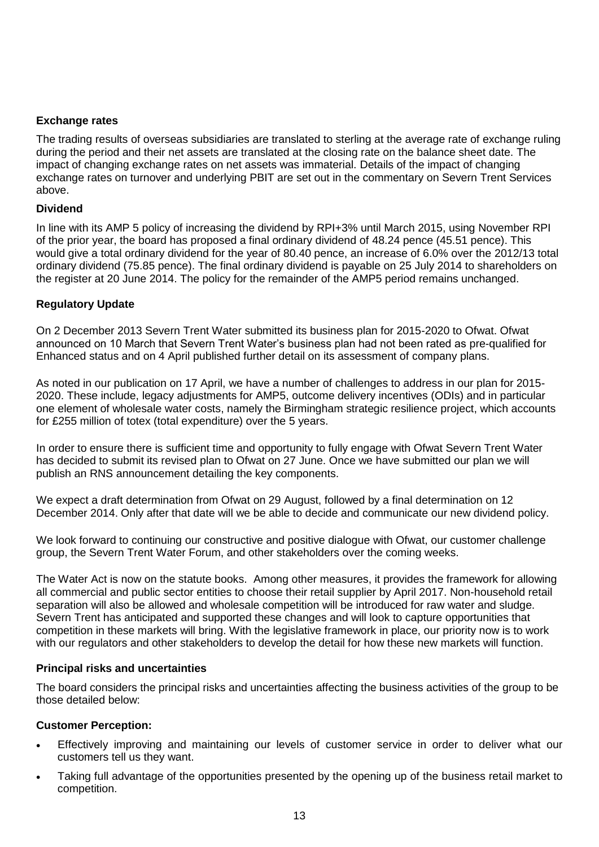# **Exchange rates**

The trading results of overseas subsidiaries are translated to sterling at the average rate of exchange ruling during the period and their net assets are translated at the closing rate on the balance sheet date. The impact of changing exchange rates on net assets was immaterial. Details of the impact of changing exchange rates on turnover and underlying PBIT are set out in the commentary on Severn Trent Services above.

### **Dividend**

In line with its AMP 5 policy of increasing the dividend by RPI+3% until March 2015, using November RPI of the prior year, the board has proposed a final ordinary dividend of 48.24 pence (45.51 pence). This would give a total ordinary dividend for the year of 80.40 pence, an increase of 6.0% over the 2012/13 total ordinary dividend (75.85 pence). The final ordinary dividend is payable on 25 July 2014 to shareholders on the register at 20 June 2014. The policy for the remainder of the AMP5 period remains unchanged.

### **Regulatory Update**

On 2 December 2013 Severn Trent Water submitted its business plan for 2015-2020 to Ofwat. Ofwat announced on 10 March that Severn Trent Water's business plan had not been rated as pre-qualified for Enhanced status and on 4 April published further detail on its assessment of company plans.

As noted in our publication on 17 April, we have a number of challenges to address in our plan for 2015- 2020. These include, legacy adjustments for AMP5, outcome delivery incentives (ODIs) and in particular one element of wholesale water costs, namely the Birmingham strategic resilience project, which accounts for £255 million of totex (total expenditure) over the 5 years.

In order to ensure there is sufficient time and opportunity to fully engage with Ofwat Severn Trent Water has decided to submit its revised plan to Ofwat on 27 June. Once we have submitted our plan we will publish an RNS announcement detailing the key components.

We expect a draft determination from Ofwat on 29 August, followed by a final determination on 12 December 2014. Only after that date will we be able to decide and communicate our new dividend policy.

We look forward to continuing our constructive and positive dialogue with Ofwat, our customer challenge group, the Severn Trent Water Forum, and other stakeholders over the coming weeks.

The Water Act is now on the statute books. Among other measures, it provides the framework for allowing all commercial and public sector entities to choose their retail supplier by April 2017. Non-household retail separation will also be allowed and wholesale competition will be introduced for raw water and sludge. Severn Trent has anticipated and supported these changes and will look to capture opportunities that competition in these markets will bring. With the legislative framework in place, our priority now is to work with our regulators and other stakeholders to develop the detail for how these new markets will function.

### **Principal risks and uncertainties**

The board considers the principal risks and uncertainties affecting the business activities of the group to be those detailed below:

### **Customer Perception:**

- Effectively improving and maintaining our levels of customer service in order to deliver what our customers tell us they want.
- Taking full advantage of the opportunities presented by the opening up of the business retail market to competition.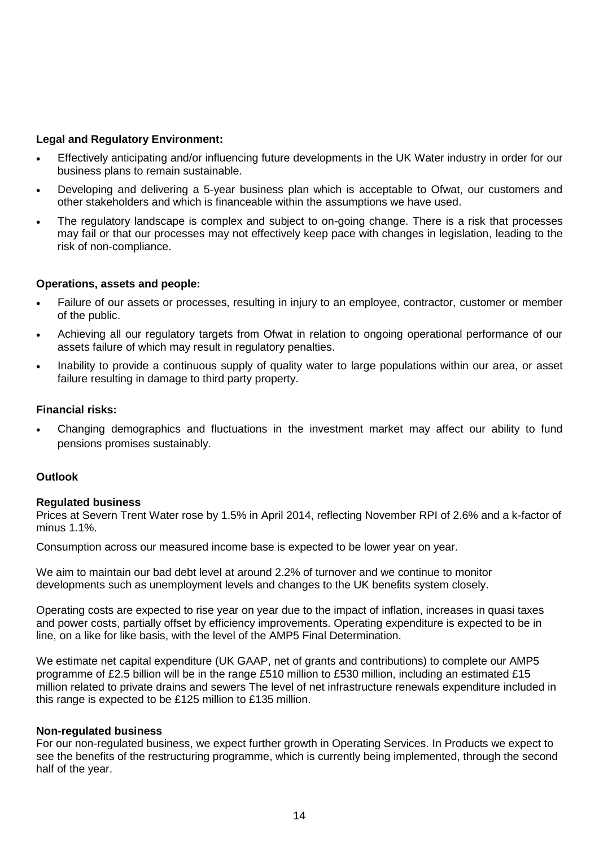# **Legal and Regulatory Environment:**

- Effectively anticipating and/or influencing future developments in the UK Water industry in order for our business plans to remain sustainable.
- Developing and delivering a 5-year business plan which is acceptable to Ofwat, our customers and other stakeholders and which is financeable within the assumptions we have used.
- The regulatory landscape is complex and subject to on-going change. There is a risk that processes may fail or that our processes may not effectively keep pace with changes in legislation, leading to the risk of non-compliance.

### **Operations, assets and people:**

- Failure of our assets or processes, resulting in injury to an employee, contractor, customer or member of the public.
- Achieving all our regulatory targets from Ofwat in relation to ongoing operational performance of our assets failure of which may result in regulatory penalties.
- Inability to provide a continuous supply of quality water to large populations within our area, or asset failure resulting in damage to third party property.

### **Financial risks:**

 Changing demographics and fluctuations in the investment market may affect our ability to fund pensions promises sustainably.

# **Outlook**

# **Regulated business**

Prices at Severn Trent Water rose by 1.5% in April 2014, reflecting November RPI of 2.6% and a k-factor of minus 1.1%.

Consumption across our measured income base is expected to be lower year on year.

We aim to maintain our bad debt level at around 2.2% of turnover and we continue to monitor developments such as unemployment levels and changes to the UK benefits system closely.

Operating costs are expected to rise year on year due to the impact of inflation, increases in quasi taxes and power costs, partially offset by efficiency improvements. Operating expenditure is expected to be in line, on a like for like basis, with the level of the AMP5 Final Determination.

We estimate net capital expenditure (UK GAAP, net of grants and contributions) to complete our AMP5 programme of £2.5 billion will be in the range £510 million to £530 million, including an estimated £15 million related to private drains and sewers The level of net infrastructure renewals expenditure included in this range is expected to be £125 million to £135 million.

### **Non-regulated business**

For our non-regulated business, we expect further growth in Operating Services. In Products we expect to see the benefits of the restructuring programme, which is currently being implemented, through the second half of the year.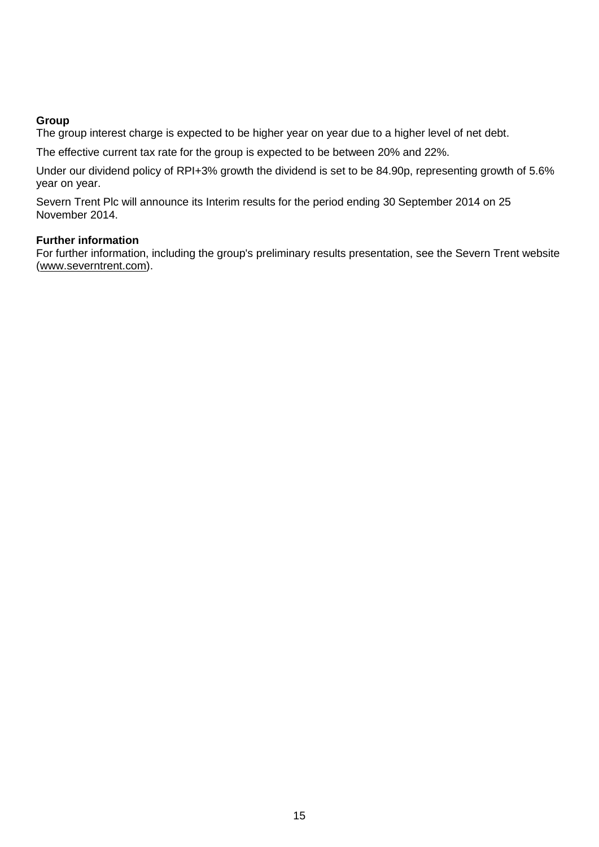# **Group**

The group interest charge is expected to be higher year on year due to a higher level of net debt.

The effective current tax rate for the group is expected to be between 20% and 22%.

Under our dividend policy of RPI+3% growth the dividend is set to be 84.90p, representing growth of 5.6% year on year.

Severn Trent Plc will announce its Interim results for the period ending 30 September 2014 on 25 November 2014.

# **Further information**

For further information, including the group's preliminary results presentation, see the Severn Trent website (www.severntrent.com).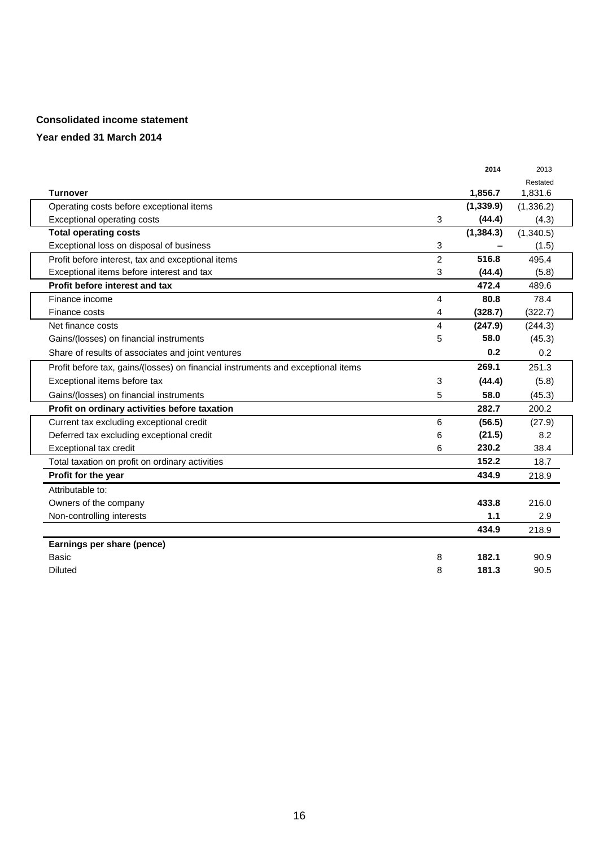### **Consolidated income statement**

### **Year ended 31 March 2014**

|                                                                                  |                | 2014       | 2013       |
|----------------------------------------------------------------------------------|----------------|------------|------------|
|                                                                                  |                |            | Restated   |
| <b>Turnover</b>                                                                  |                | 1,856.7    | 1,831.6    |
| Operating costs before exceptional items                                         |                | (1, 339.9) | (1, 336.2) |
| Exceptional operating costs                                                      | 3              | (44.4)     | (4.3)      |
| <b>Total operating costs</b>                                                     |                | (1, 384.3) | (1,340.5)  |
| Exceptional loss on disposal of business                                         | 3              |            | (1.5)      |
| Profit before interest, tax and exceptional items                                | $\overline{2}$ | 516.8      | 495.4      |
| Exceptional items before interest and tax                                        | 3              | (44.4)     | (5.8)      |
| Profit before interest and tax                                                   |                | 472.4      | 489.6      |
| Finance income                                                                   | 4              | 80.8       | 78.4       |
| Finance costs                                                                    | 4              | (328.7)    | (322.7)    |
| Net finance costs                                                                | 4              | (247.9)    | (244.3)    |
| Gains/(losses) on financial instruments                                          | 5              | 58.0       | (45.3)     |
| Share of results of associates and joint ventures                                |                | 0.2        | 0.2        |
| Profit before tax, gains/(losses) on financial instruments and exceptional items |                | 269.1      | 251.3      |
| Exceptional items before tax                                                     | 3              | (44.4)     | (5.8)      |
| Gains/(losses) on financial instruments                                          | 5              | 58.0       | (45.3)     |
| Profit on ordinary activities before taxation                                    |                | 282.7      | 200.2      |
| Current tax excluding exceptional credit                                         | 6              | (56.5)     | (27.9)     |
| Deferred tax excluding exceptional credit                                        | 6              | (21.5)     | 8.2        |
| Exceptional tax credit                                                           | 6              | 230.2      | 38.4       |
| Total taxation on profit on ordinary activities                                  |                | 152.2      | 18.7       |
| Profit for the year                                                              |                | 434.9      | 218.9      |
| Attributable to:                                                                 |                |            |            |
| Owners of the company                                                            |                | 433.8      | 216.0      |
| Non-controlling interests                                                        |                | 1.1        | 2.9        |
|                                                                                  |                | 434.9      | 218.9      |
| Earnings per share (pence)                                                       |                |            |            |
| <b>Basic</b>                                                                     | 8              | 182.1      | 90.9       |
| <b>Diluted</b>                                                                   | 8              | 181.3      | 90.5       |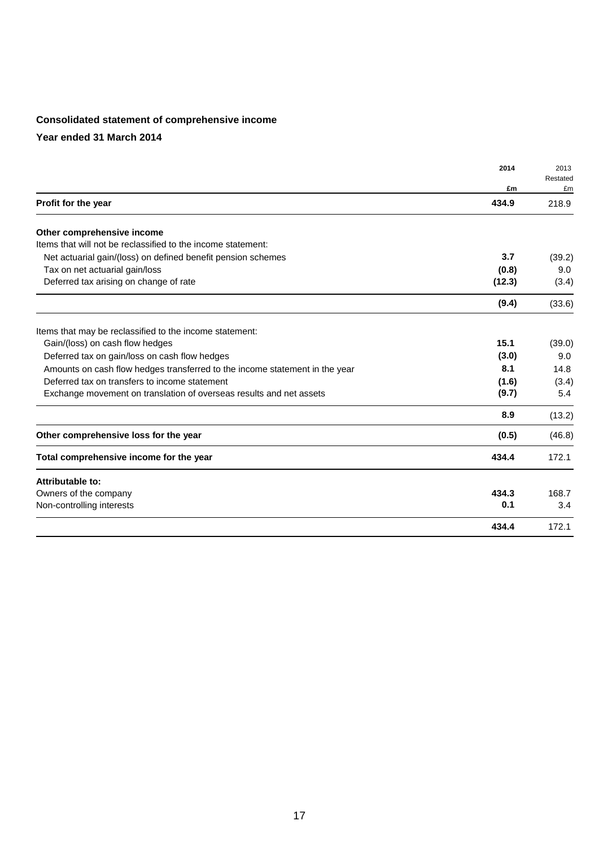# **Consolidated statement of comprehensive income**

**Year ended 31 March 2014**

|                                                                             | 2014   | 2013           |
|-----------------------------------------------------------------------------|--------|----------------|
|                                                                             | £m     | Restated<br>£m |
| Profit for the year                                                         | 434.9  | 218.9          |
| Other comprehensive income                                                  |        |                |
| Items that will not be reclassified to the income statement:                |        |                |
| Net actuarial gain/(loss) on defined benefit pension schemes                | 3.7    | (39.2)         |
| Tax on net actuarial gain/loss                                              | (0.8)  | 9.0            |
| Deferred tax arising on change of rate                                      | (12.3) | (3.4)          |
|                                                                             | (9.4)  | (33.6)         |
| Items that may be reclassified to the income statement:                     |        |                |
| Gain/(loss) on cash flow hedges                                             | 15.1   | (39.0)         |
| Deferred tax on gain/loss on cash flow hedges                               | (3.0)  | 9.0            |
| Amounts on cash flow hedges transferred to the income statement in the year | 8.1    | 14.8           |
| Deferred tax on transfers to income statement                               | (1.6)  | (3.4)          |
| Exchange movement on translation of overseas results and net assets         | (9.7)  | 5.4            |
|                                                                             | 8.9    | (13.2)         |
| Other comprehensive loss for the year                                       | (0.5)  | (46.8)         |
| Total comprehensive income for the year                                     | 434.4  | 172.1          |
| Attributable to:                                                            |        |                |
| Owners of the company                                                       | 434.3  | 168.7          |
| Non-controlling interests                                                   | 0.1    | 3.4            |
|                                                                             | 434.4  | 172.1          |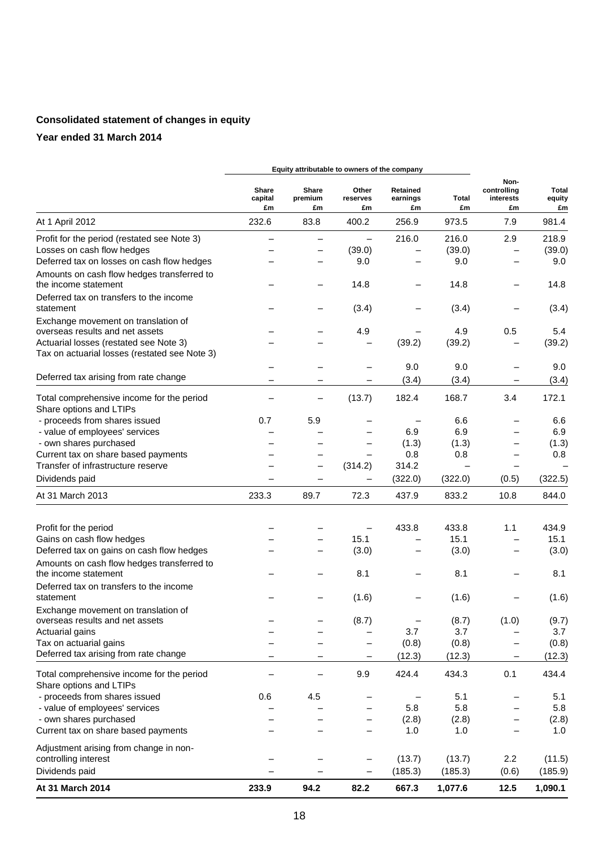# **Consolidated statement of changes in equity**

# **Year ended 31 March 2014**

|                                                                                         |                        | Equity attributable to owners of the company |                         |                            |                          |                                        |                              |
|-----------------------------------------------------------------------------------------|------------------------|----------------------------------------------|-------------------------|----------------------------|--------------------------|----------------------------------------|------------------------------|
|                                                                                         | Share<br>capital<br>£m | Share<br>premium<br>£m                       | Other<br>reserves<br>£m | Retained<br>earnings<br>£m | Total<br>£m              | Non-<br>controlling<br>interests<br>£m | <b>Total</b><br>equity<br>£m |
| At 1 April 2012                                                                         | 232.6                  | 83.8                                         | 400.2                   | 256.9                      | 973.5                    | 7.9                                    | 981.4                        |
| Profit for the period (restated see Note 3)                                             |                        |                                              | $\qquad \qquad -$       | 216.0                      | 216.0                    | 2.9                                    | 218.9                        |
| Losses on cash flow hedges                                                              |                        | —                                            | (39.0)                  |                            | (39.0)                   |                                        | (39.0)                       |
| Deferred tax on losses on cash flow hedges                                              |                        | $\overline{\phantom{0}}$                     | 9.0                     |                            | 9.0                      |                                        | 9.0                          |
| Amounts on cash flow hedges transferred to<br>the income statement                      |                        |                                              | 14.8                    |                            | 14.8                     | $\overline{\phantom{0}}$               | 14.8                         |
| Deferred tax on transfers to the income<br>statement                                    |                        |                                              | (3.4)                   |                            | (3.4)                    |                                        | (3.4)                        |
| Exchange movement on translation of                                                     |                        |                                              |                         |                            |                          |                                        |                              |
| overseas results and net assets                                                         |                        |                                              | 4.9                     |                            | 4.9                      | 0.5                                    | 5.4                          |
| Actuarial losses (restated see Note 3)<br>Tax on actuarial losses (restated see Note 3) |                        |                                              |                         | (39.2)                     | (39.2)                   |                                        | (39.2)                       |
|                                                                                         |                        |                                              |                         | 9.0                        | 9.0                      |                                        | 9.0                          |
| Deferred tax arising from rate change                                                   | -                      | -                                            |                         | (3.4)                      | (3.4)                    | -                                      | (3.4)                        |
| Total comprehensive income for the period<br>Share options and LTIPs                    | -                      | $\qquad \qquad -$                            | (13.7)                  | 182.4                      | 168.7                    | 3.4                                    | 172.1                        |
| - proceeds from shares issued                                                           | 0.7                    | 5.9                                          |                         |                            | 6.6                      | $\overline{\phantom{0}}$               | 6.6                          |
| - value of employees' services                                                          |                        |                                              |                         | 6.9                        | 6.9                      |                                        | 6.9                          |
| - own shares purchased                                                                  |                        |                                              |                         | (1.3)                      | (1.3)                    |                                        | (1.3)                        |
| Current tax on share based payments                                                     |                        |                                              |                         | 0.8                        | 0.8                      |                                        | 0.8                          |
| Transfer of infrastructure reserve                                                      |                        | $\overline{\phantom{0}}$                     | (314.2)                 | 314.2                      | $\overline{\phantom{0}}$ | $\overline{\phantom{0}}$               |                              |
| Dividends paid                                                                          |                        |                                              |                         | (322.0)                    | (322.0)                  | (0.5)                                  | (322.5)                      |
| At 31 March 2013                                                                        | 233.3                  | 89.7                                         | 72.3                    | 437.9                      | 833.2                    | 10.8                                   | 844.0                        |
|                                                                                         |                        |                                              |                         | 433.8                      | 433.8                    | 1.1                                    | 434.9                        |
| Profit for the period<br>Gains on cash flow hedges                                      |                        |                                              | 15.1                    |                            | 15.1                     | $\overline{\phantom{0}}$               | 15.1                         |
| Deferred tax on gains on cash flow hedges                                               |                        | —                                            | (3.0)                   |                            | (3.0)                    | $\overline{\phantom{0}}$               | (3.0)                        |
| Amounts on cash flow hedges transferred to<br>the income statement                      |                        |                                              | 8.1                     |                            | 8.1                      |                                        | 8.1                          |
| Deferred tax on transfers to the income                                                 |                        |                                              |                         |                            |                          |                                        |                              |
| statement                                                                               |                        |                                              | (1.6)                   |                            | (1.6)                    |                                        | (1.6)                        |
| Exchange movement on translation of<br>overseas results and net assets                  |                        |                                              |                         |                            |                          |                                        |                              |
| Actuarial gains                                                                         |                        |                                              | (8.7)                   | -<br>3.7                   | (8.7)<br>3.7             | (1.0)                                  | (9.7)<br>3.7                 |
| Tax on actuarial gains                                                                  |                        |                                              | -                       | (0.8)                      | (0.8)                    | —                                      | (0.8)                        |
| Deferred tax arising from rate change                                                   |                        | -                                            | -                       | (12.3)                     | (12.3)                   | -                                      | (12.3)                       |
| Total comprehensive income for the period<br>Share options and LTIPs                    |                        | —                                            | 9.9                     | 424.4                      | 434.3                    | 0.1                                    | 434.4                        |
| - proceeds from shares issued                                                           | 0.6                    | 4.5                                          |                         |                            | 5.1                      | —                                      | 5.1                          |
| - value of employees' services                                                          |                        |                                              |                         | 5.8                        | 5.8                      |                                        | 5.8                          |
| - own shares purchased                                                                  |                        |                                              |                         | (2.8)                      | (2.8)                    |                                        | (2.8)                        |
| Current tax on share based payments                                                     |                        |                                              |                         | 1.0                        | 1.0                      |                                        | 1.0                          |
| Adjustment arising from change in non-<br>controlling interest                          |                        |                                              |                         | (13.7)                     | (13.7)                   | 2.2                                    | (11.5)                       |
| Dividends paid                                                                          |                        |                                              |                         | (185.3)                    | (185.3)                  | (0.6)                                  | (185.9)                      |
|                                                                                         |                        |                                              |                         |                            |                          |                                        |                              |
| At 31 March 2014                                                                        | 233.9                  | 94.2                                         | 82.2                    | 667.3                      | 1,077.6                  | 12.5                                   | 1,090.1                      |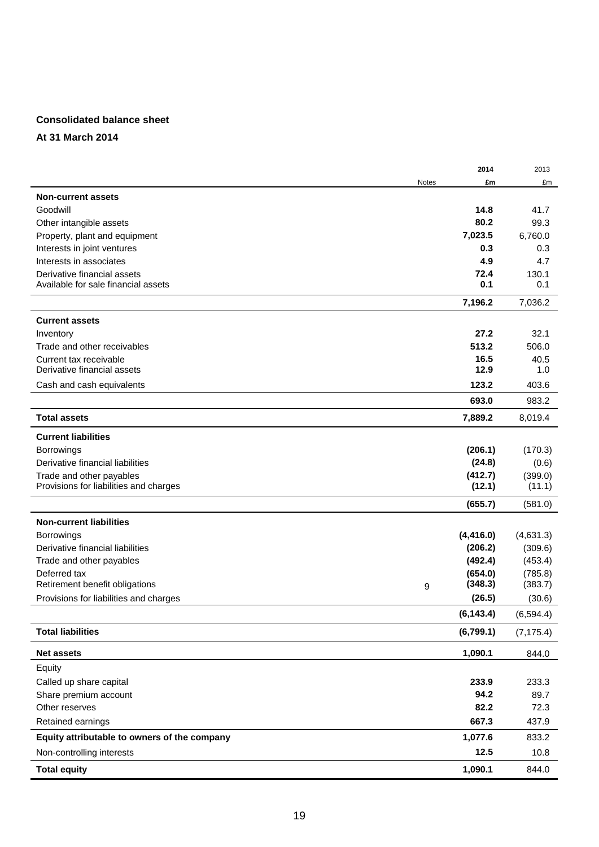### **Consolidated balance sheet**

**At 31 March 2014**

|                                              |              | 2014       | 2013       |
|----------------------------------------------|--------------|------------|------------|
|                                              | <b>Notes</b> | £m         | £m         |
| <b>Non-current assets</b>                    |              |            |            |
| Goodwill                                     |              | 14.8       | 41.7       |
| Other intangible assets                      |              | 80.2       | 99.3       |
| Property, plant and equipment                |              | 7,023.5    | 6,760.0    |
| Interests in joint ventures                  |              | 0.3        | 0.3        |
| Interests in associates                      |              | 4.9        | 4.7        |
| Derivative financial assets                  |              | 72.4       | 130.1      |
| Available for sale financial assets          |              | 0.1        | 0.1        |
|                                              |              | 7,196.2    | 7,036.2    |
| <b>Current assets</b>                        |              |            |            |
| Inventory                                    |              | 27.2       | 32.1       |
| Trade and other receivables                  |              | 513.2      | 506.0      |
| Current tax receivable                       |              | 16.5       | 40.5       |
| Derivative financial assets                  |              | 12.9       | 1.0        |
| Cash and cash equivalents                    |              | 123.2      | 403.6      |
|                                              |              | 693.0      | 983.2      |
| <b>Total assets</b>                          |              | 7,889.2    | 8,019.4    |
| <b>Current liabilities</b>                   |              |            |            |
| <b>Borrowings</b>                            |              | (206.1)    | (170.3)    |
| Derivative financial liabilities             |              | (24.8)     | (0.6)      |
| Trade and other payables                     |              | (412.7)    | (399.0)    |
| Provisions for liabilities and charges       |              | (12.1)     | (11.1)     |
|                                              |              | (655.7)    | (581.0)    |
| <b>Non-current liabilities</b>               |              |            |            |
| Borrowings                                   |              | (4, 416.0) | (4,631.3)  |
| Derivative financial liabilities             |              | (206.2)    | (309.6)    |
| Trade and other payables                     |              | (492.4)    | (453.4)    |
| Deferred tax                                 |              | (654.0)    | (785.8)    |
| Retirement benefit obligations               | 9            | (348.3)    | (383.7)    |
| Provisions for liabilities and charges       |              | (26.5)     | (30.6)     |
|                                              |              | (6, 143.4) | (6, 594.4) |
| <b>Total liabilities</b>                     |              | (6,799.1)  | (7, 175.4) |
| <b>Net assets</b>                            |              | 1,090.1    | 844.0      |
| Equity                                       |              |            |            |
| Called up share capital                      |              | 233.9      | 233.3      |
| Share premium account                        |              | 94.2       | 89.7       |
| Other reserves                               |              | 82.2       | 72.3       |
| Retained earnings                            |              | 667.3      | 437.9      |
| Equity attributable to owners of the company |              | 1,077.6    | 833.2      |
| Non-controlling interests                    |              | 12.5       | 10.8       |
| <b>Total equity</b>                          |              | 1,090.1    | 844.0      |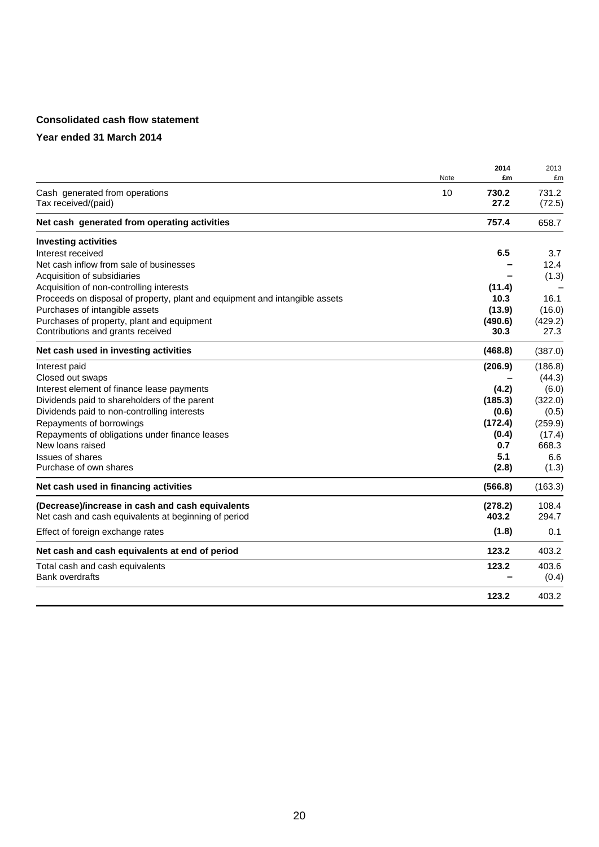# **Consolidated cash flow statement**

### **Year ended 31 March 2014**

|                                                                             | Note | 2014<br>£m    | 2013<br>£m      |
|-----------------------------------------------------------------------------|------|---------------|-----------------|
| Cash generated from operations<br>Tax received/(paid)                       | 10   | 730.2<br>27.2 | 731.2<br>(72.5) |
| Net cash generated from operating activities                                |      | 757.4         | 658.7           |
| <b>Investing activities</b>                                                 |      |               |                 |
| Interest received                                                           |      | 6.5           | 3.7             |
| Net cash inflow from sale of businesses                                     |      |               | 12.4            |
| Acquisition of subsidiaries                                                 |      |               | (1.3)           |
| Acquisition of non-controlling interests                                    |      | (11.4)        |                 |
| Proceeds on disposal of property, plant and equipment and intangible assets |      | 10.3          | 16.1            |
| Purchases of intangible assets                                              |      | (13.9)        | (16.0)          |
| Purchases of property, plant and equipment                                  |      | (490.6)       | (429.2)         |
| Contributions and grants received                                           |      | 30.3          | 27.3            |
| Net cash used in investing activities                                       |      | (468.8)       | (387.0)         |
| Interest paid                                                               |      | (206.9)       | (186.8)         |
| Closed out swaps                                                            |      |               | (44.3)          |
| Interest element of finance lease payments                                  |      | (4.2)         | (6.0)           |
| Dividends paid to shareholders of the parent                                |      | (185.3)       | (322.0)         |
| Dividends paid to non-controlling interests                                 |      | (0.6)         | (0.5)           |
| Repayments of borrowings                                                    |      | (172.4)       | (259.9)         |
| Repayments of obligations under finance leases                              |      | (0.4)         | (17.4)          |
| New loans raised                                                            |      | 0.7           | 668.3           |
| <b>Issues of shares</b>                                                     |      | 5.1           | 6.6             |
| Purchase of own shares                                                      |      | (2.8)         | (1.3)           |
| Net cash used in financing activities                                       |      | (566.8)       | (163.3)         |
| (Decrease)/increase in cash and cash equivalents                            |      | (278.2)       | 108.4           |
| Net cash and cash equivalents at beginning of period                        |      | 403.2         | 294.7           |
| Effect of foreign exchange rates                                            |      | (1.8)         | 0.1             |
| Net cash and cash equivalents at end of period                              |      | 123.2         | 403.2           |
| Total cash and cash equivalents                                             |      | 123.2         | 403.6           |
| <b>Bank overdrafts</b>                                                      |      |               | (0.4)           |
|                                                                             |      | 123.2         | 403.2           |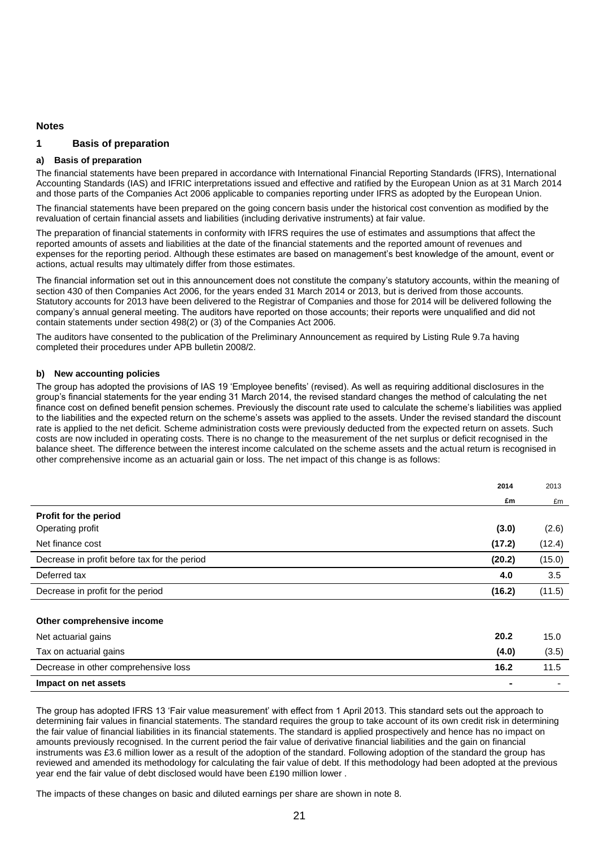#### **Notes**

#### **1 Basis of preparation**

#### **a) Basis of preparation**

The financial statements have been prepared in accordance with International Financial Reporting Standards (IFRS), International Accounting Standards (IAS) and IFRIC interpretations issued and effective and ratified by the European Union as at 31 March 2014 and those parts of the Companies Act 2006 applicable to companies reporting under IFRS as adopted by the European Union.

The financial statements have been prepared on the going concern basis under the historical cost convention as modified by the revaluation of certain financial assets and liabilities (including derivative instruments) at fair value.

The preparation of financial statements in conformity with IFRS requires the use of estimates and assumptions that affect the reported amounts of assets and liabilities at the date of the financial statements and the reported amount of revenues and expenses for the reporting period. Although these estimates are based on management's best knowledge of the amount, event or actions, actual results may ultimately differ from those estimates.

The financial information set out in this announcement does not constitute the company's statutory accounts, within the meaning of section 430 of then Companies Act 2006, for the years ended 31 March 2014 or 2013, but is derived from those accounts. Statutory accounts for 2013 have been delivered to the Registrar of Companies and those for 2014 will be delivered following the company's annual general meeting. The auditors have reported on those accounts; their reports were unqualified and did not contain statements under section 498(2) or (3) of the Companies Act 2006.

The auditors have consented to the publication of the Preliminary Announcement as required by Listing Rule 9.7a having completed their procedures under APB bulletin 2008/2.

#### **b) New accounting policies**

The group has adopted the provisions of IAS 19 'Employee benefits' (revised). As well as requiring additional disclosures in the group's financial statements for the year ending 31 March 2014, the revised standard changes the method of calculating the net finance cost on defined benefit pension schemes. Previously the discount rate used to calculate the scheme's liabilities was applied to the liabilities and the expected return on the scheme's assets was applied to the assets. Under the revised standard the discount rate is applied to the net deficit. Scheme administration costs were previously deducted from the expected return on assets. Such costs are now included in operating costs. There is no change to the measurement of the net surplus or deficit recognised in the balance sheet. The difference between the interest income calculated on the scheme assets and the actual return is recognised in other comprehensive income as an actuarial gain or loss. The net impact of this change is as follows:

|                                              | 2014     | 2013     |
|----------------------------------------------|----------|----------|
|                                              | £m       | £m       |
| Profit for the period                        |          |          |
| Operating profit                             | (3.0)    | (2.6)    |
| Net finance cost                             | (17.2)   | (12.4)   |
| Decrease in profit before tax for the period | (20.2)   | (15.0)   |
| Deferred tax                                 | 4.0      | 3.5      |
| Decrease in profit for the period            | (16.2)   | (11.5)   |
|                                              |          |          |
| Other comprehensive income                   |          |          |
| Net actuarial gains                          | 20.2     | 15.0     |
| .                                            | $\cdots$ | $\sim -$ |

| Tax on actuarial gains               | (4.0)                    | (3.5) |
|--------------------------------------|--------------------------|-------|
| Decrease in other comprehensive loss | 16.2                     | 11.5  |
| Impact on net assets                 | $\overline{\phantom{0}}$ |       |

The group has adopted IFRS 13 'Fair value measurement' with effect from 1 April 2013. This standard sets out the approach to determining fair values in financial statements. The standard requires the group to take account of its own credit risk in determining the fair value of financial liabilities in its financial statements. The standard is applied prospectively and hence has no impact on amounts previously recognised. In the current period the fair value of derivative financial liabilities and the gain on financial instruments was £3.6 million lower as a result of the adoption of the standard. Following adoption of the standard the group has reviewed and amended its methodology for calculating the fair value of debt. If this methodology had been adopted at the previous year end the fair value of debt disclosed would have been £190 million lower .

The impacts of these changes on basic and diluted earnings per share are shown in note 8.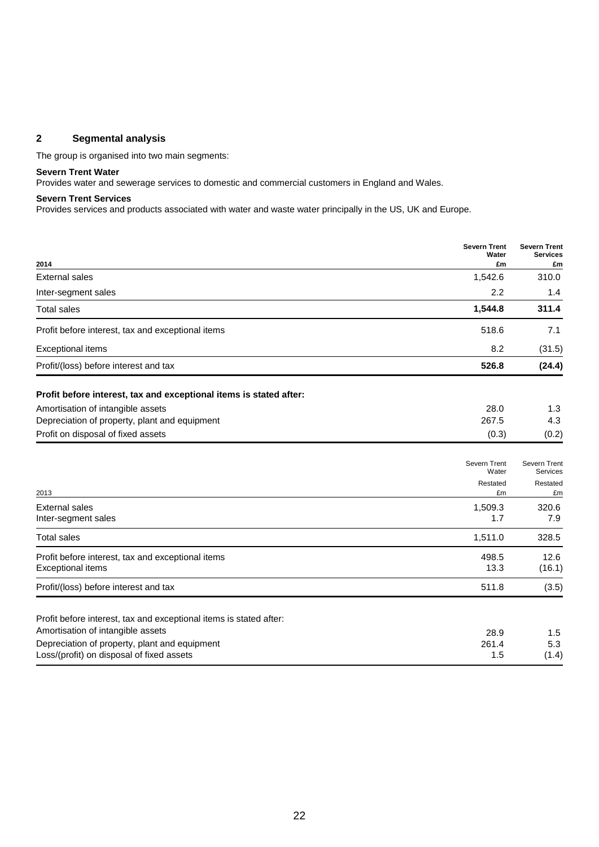### **2 Segmental analysis**

The group is organised into two main segments:

# **Severn Trent Water**

Provides water and sewerage services to domestic and commercial customers in England and Wales.

#### **Severn Trent Services**

Provides services and products associated with water and waste water principally in the US, UK and Europe.

|                                                                                                         | <b>Severn Trent</b><br>Water | <b>Severn Trent</b><br><b>Services</b> |
|---------------------------------------------------------------------------------------------------------|------------------------------|----------------------------------------|
| 2014                                                                                                    | £m                           | £m                                     |
| <b>External sales</b>                                                                                   | 1,542.6                      | 310.0                                  |
| Inter-segment sales                                                                                     | 2.2                          | 1.4                                    |
| <b>Total sales</b>                                                                                      | 1,544.8                      | 311.4                                  |
| Profit before interest, tax and exceptional items                                                       | 518.6                        | 7.1                                    |
| <b>Exceptional items</b>                                                                                | 8.2                          | (31.5)                                 |
| Profit/(loss) before interest and tax                                                                   | 526.8                        | (24.4)                                 |
| Profit before interest, tax and exceptional items is stated after:                                      |                              |                                        |
| Amortisation of intangible assets                                                                       | 28.0                         | 1.3                                    |
| Depreciation of property, plant and equipment                                                           | 267.5                        | 4.3                                    |
| Profit on disposal of fixed assets                                                                      | (0.3)                        | (0.2)                                  |
|                                                                                                         | Severn Trent                 | Severn Trent                           |
|                                                                                                         | Water                        | Services                               |
| 2013                                                                                                    | Restated<br>£m               | Restated<br>£m                         |
| <b>External sales</b>                                                                                   | 1,509.3                      | 320.6                                  |
| Inter-segment sales                                                                                     | 1.7                          | 7.9                                    |
| <b>Total sales</b>                                                                                      | 1,511.0                      | 328.5                                  |
| Profit before interest, tax and exceptional items<br><b>Exceptional items</b>                           | 498.5<br>13.3                | 12.6<br>(16.1)                         |
| Profit/(loss) before interest and tax                                                                   | 511.8                        | (3.5)                                  |
|                                                                                                         |                              |                                        |
| Profit before interest, tax and exceptional items is stated after:<br>Amortisation of intangible assets |                              |                                        |
| Depreciation of property, plant and equipment                                                           | 28.9<br>261.4                | 1.5<br>5.3                             |
| Loss/(profit) on disposal of fixed assets                                                               | 1.5                          | (1.4)                                  |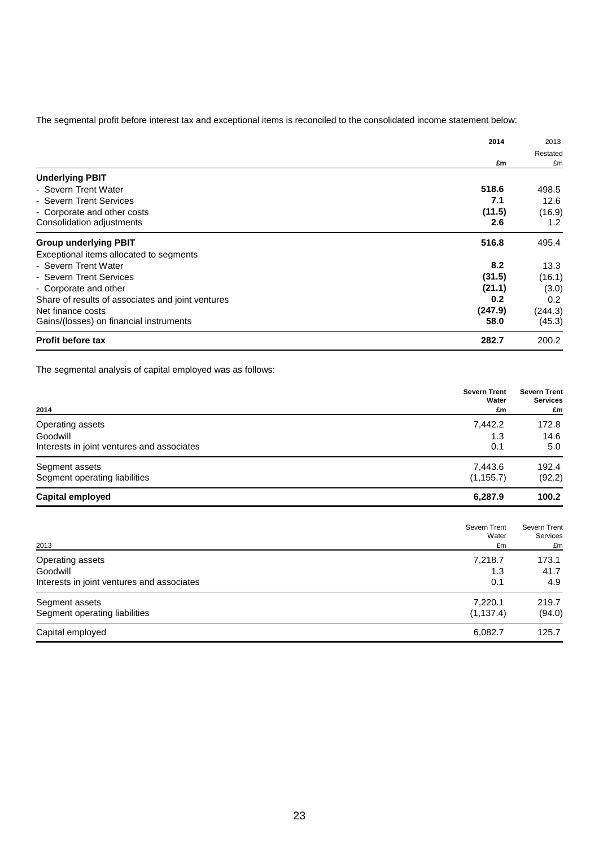The segmental profit before interest tax and exceptional items is reconciled to the consolidated income statement below:

|                                                   | 2014    | 2013<br>Restated |
|---------------------------------------------------|---------|------------------|
|                                                   |         |                  |
|                                                   | £m      | £m               |
| <b>Underlying PBIT</b>                            |         |                  |
| - Severn Trent Water                              | 518.6   | 498.5            |
| - Severn Trent Services                           | 7.1     | 12.6             |
| - Corporate and other costs                       | (11.5)  | (16.9)           |
| Consolidation adjustments                         | 2.6     | 1.2              |
| <b>Group underlying PBIT</b>                      | 516.8   | 495.4            |
| Exceptional items allocated to segments           |         |                  |
| - Severn Trent Water                              | 8.2     | 13.3             |
| - Severn Trent Services                           | (31.5)  | (16.1)           |
| - Corporate and other                             | (21.1)  | (3.0)            |
| Share of results of associates and joint ventures | 0.2     | 0.2              |
| Net finance costs                                 | (247.9) | (244.3)          |
| Gains/(losses) on financial instruments           | 58.0    | (45.3)           |
| <b>Profit before tax</b>                          | 282.7   | 200.2            |

The segmental analysis of capital employed was as follows:

| 2014                                       | <b>Severn Trent</b><br>Water<br>£m | <b>Severn Trent</b><br><b>Services</b><br>£m |
|--------------------------------------------|------------------------------------|----------------------------------------------|
| Operating assets                           | 7,442.2                            | 172.8                                        |
| Goodwill                                   | 1.3                                | 14.6                                         |
| Interests in joint ventures and associates | 0.1                                | 5.0                                          |
| Segment assets                             | 7.443.6                            | 192.4                                        |
| Segment operating liabilities              | (1, 155.7)                         | (92.2)                                       |
| Capital employed                           | 6,287.9                            | 100.2                                        |

| 2013                                       | Severn Trent<br>Water<br>£m | Severn Trent<br>Services<br>£m |
|--------------------------------------------|-----------------------------|--------------------------------|
| Operating assets                           | 7,218.7                     | 173.1                          |
| Goodwill                                   | 1.3                         | 41.7                           |
| Interests in joint ventures and associates | 0.1                         | 4.9                            |
| Segment assets                             | 7,220.1                     | 219.7                          |
| Segment operating liabilities              | (1, 137.4)                  | (94.0)                         |
| Capital employed                           | 6,082.7                     | 125.7                          |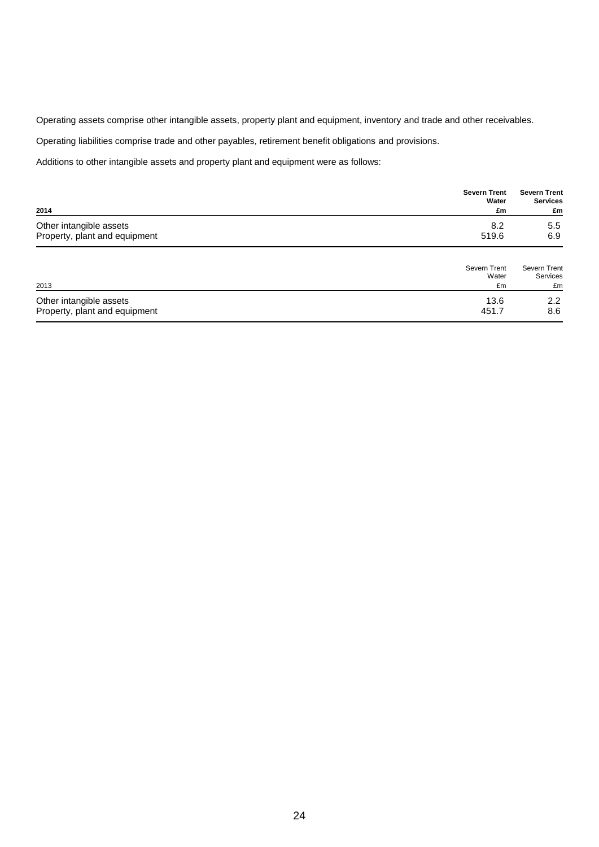Operating assets comprise other intangible assets, property plant and equipment, inventory and trade and other receivables.

Operating liabilities comprise trade and other payables, retirement benefit obligations and provisions.

Additions to other intangible assets and property plant and equipment were as follows:

|                               | <b>Severn Trent</b><br>Water | <b>Severn Trent</b><br><b>Services</b> |
|-------------------------------|------------------------------|----------------------------------------|
| 2014                          | £m                           | £m                                     |
| Other intangible assets       | 8.2                          | 5.5                                    |
| Property, plant and equipment | 519.6                        | 6.9                                    |
|                               | Severn Trent<br>Water        | <b>Severn Trent</b><br>Services        |
| 2013                          | £m                           | £m                                     |

| Other intangible assets       |       | י ה<br>ے.ے |
|-------------------------------|-------|------------|
| Property, plant and equipment | 451., | 8.6        |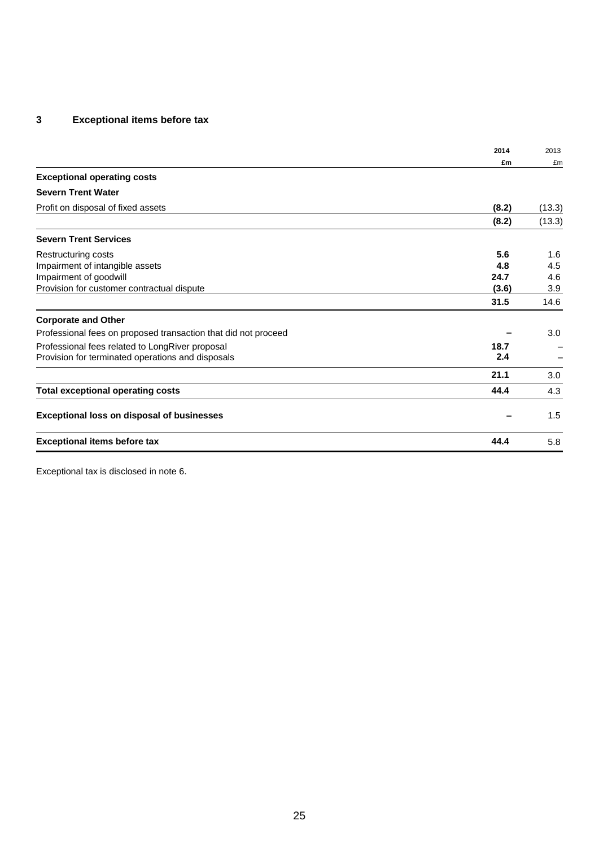# **3 Exceptional items before tax**

|                                                                | 2014  | 2013   |
|----------------------------------------------------------------|-------|--------|
|                                                                | £m    | £m     |
| <b>Exceptional operating costs</b>                             |       |        |
| <b>Severn Trent Water</b>                                      |       |        |
| Profit on disposal of fixed assets                             | (8.2) | (13.3) |
|                                                                | (8.2) | (13.3) |
| <b>Severn Trent Services</b>                                   |       |        |
| Restructuring costs                                            | 5.6   | 1.6    |
| Impairment of intangible assets                                | 4.8   | 4.5    |
| Impairment of goodwill                                         | 24.7  | 4.6    |
| Provision for customer contractual dispute                     | (3.6) | 3.9    |
|                                                                | 31.5  | 14.6   |
| <b>Corporate and Other</b>                                     |       |        |
| Professional fees on proposed transaction that did not proceed |       | 3.0    |
| Professional fees related to LongRiver proposal                | 18.7  |        |
| Provision for terminated operations and disposals              | 2.4   |        |
|                                                                | 21.1  | 3.0    |
| <b>Total exceptional operating costs</b>                       | 44.4  | 4.3    |
| <b>Exceptional loss on disposal of businesses</b>              |       | 1.5    |
| <b>Exceptional items before tax</b>                            | 44.4  | 5.8    |

Exceptional tax is disclosed in note 6.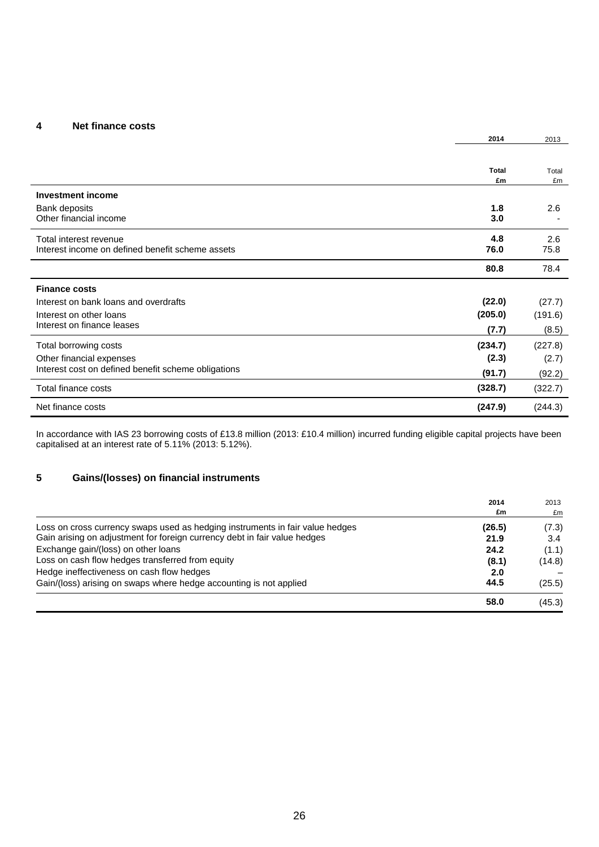### **4 Net finance costs**

|                                                                            | 2014               | 2013        |
|----------------------------------------------------------------------------|--------------------|-------------|
|                                                                            |                    |             |
|                                                                            | <b>Total</b><br>£m | Total<br>£m |
| <b>Investment income</b>                                                   |                    |             |
| Bank deposits<br>Other financial income                                    | 1.8<br>3.0         | 2.6         |
| Total interest revenue<br>Interest income on defined benefit scheme assets | 4.8<br>76.0        | 2.6<br>75.8 |
|                                                                            | 80.8               | 78.4        |
| <b>Finance costs</b>                                                       |                    |             |
| Interest on bank loans and overdrafts                                      | (22.0)             | (27.7)      |
| Interest on other loans                                                    | (205.0)            | (191.6)     |
| Interest on finance leases                                                 | (7.7)              | (8.5)       |
| Total borrowing costs                                                      | (234.7)            | (227.8)     |
| Other financial expenses                                                   | (2.3)              | (2.7)       |
| Interest cost on defined benefit scheme obligations                        | (91.7)             | (92.2)      |
| Total finance costs                                                        | (328.7)            | (322.7)     |
| Net finance costs                                                          | (247.9)            | (244.3)     |

In accordance with IAS 23 borrowing costs of £13.8 million (2013: £10.4 million) incurred funding eligible capital projects have been capitalised at an interest rate of 5.11% (2013: 5.12%).

### **5 Gains/(losses) on financial instruments**

|                                                                               | 2014   | 2013   |
|-------------------------------------------------------------------------------|--------|--------|
|                                                                               | £m     | £m     |
| Loss on cross currency swaps used as hedging instruments in fair value hedges | (26.5) | (7.3)  |
| Gain arising on adjustment for foreign currency debt in fair value hedges     | 21.9   | 3.4    |
| Exchange gain/(loss) on other loans                                           | 24.2   | (1.1)  |
| Loss on cash flow hedges transferred from equity                              | (8.1)  | (14.8) |
| Hedge ineffectiveness on cash flow hedges                                     | 2.0    |        |
| Gain/(loss) arising on swaps where hedge accounting is not applied            | 44.5   | (25.5) |
|                                                                               | 58.0   | (45.3) |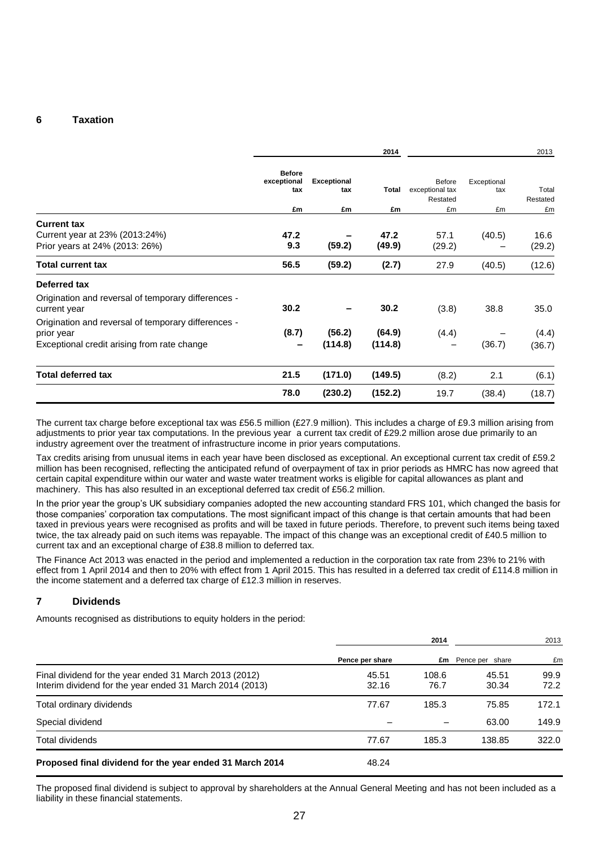### **6 Taxation**

|                                                                                                                  |                                     |                           | 2014              |                                       |                    | 2013              |
|------------------------------------------------------------------------------------------------------------------|-------------------------------------|---------------------------|-------------------|---------------------------------------|--------------------|-------------------|
|                                                                                                                  | <b>Before</b><br>exceptional<br>tax | <b>Exceptional</b><br>tax | Total             | Before<br>exceptional tax<br>Restated | Exceptional<br>tax | Total<br>Restated |
|                                                                                                                  | £m                                  | £m                        | £m                | £m                                    | £m                 | £m                |
| <b>Current tax</b><br>Current year at 23% (2013:24%)<br>Prior years at 24% (2013: 26%)                           | 47.2<br>9.3                         | (59.2)                    | 47.2<br>(49.9)    | 57.1<br>(29.2)                        | (40.5)             | 16.6<br>(29.2)    |
| <b>Total current tax</b>                                                                                         | 56.5                                | (59.2)                    | (2.7)             | 27.9                                  | (40.5)             | (12.6)            |
| Deferred tax                                                                                                     |                                     |                           |                   |                                       |                    |                   |
| Origination and reversal of temporary differences -<br>current year                                              | 30.2                                |                           | 30.2              | (3.8)                                 | 38.8               | 35.0              |
| Origination and reversal of temporary differences -<br>prior year<br>Exceptional credit arising from rate change | (8.7)                               | (56.2)<br>(114.8)         | (64.9)<br>(114.8) | (4.4)                                 | (36.7)             | (4.4)<br>(36.7)   |
| <b>Total deferred tax</b>                                                                                        | 21.5                                | (171.0)                   | (149.5)           | (8.2)                                 | 2.1                | (6.1)             |
|                                                                                                                  | 78.0                                | (230.2)                   | (152.2)           | 19.7                                  | (38.4)             | (18.7)            |

The current tax charge before exceptional tax was £56.5 million (£27.9 million). This includes a charge of £9.3 million arising from adjustments to prior year tax computations. In the previous year a current tax credit of £29.2 million arose due primarily to an industry agreement over the treatment of infrastructure income in prior years computations.

Tax credits arising from unusual items in each year have been disclosed as exceptional. An exceptional current tax credit of £59.2 million has been recognised, reflecting the anticipated refund of overpayment of tax in prior periods as HMRC has now agreed that certain capital expenditure within our water and waste water treatment works is eligible for capital allowances as plant and machinery. This has also resulted in an exceptional deferred tax credit of £56.2 million.

In the prior year the group's UK subsidiary companies adopted the new accounting standard FRS 101, which changed the basis for those companies' corporation tax computations. The most significant impact of this change is that certain amounts that had been taxed in previous years were recognised as profits and will be taxed in future periods. Therefore, to prevent such items being taxed twice, the tax already paid on such items was repayable. The impact of this change was an exceptional credit of £40.5 million to current tax and an exceptional charge of £38.8 million to deferred tax.

The Finance Act 2013 was enacted in the period and implemented a reduction in the corporation tax rate from 23% to 21% with effect from 1 April 2014 and then to 20% with effect from 1 April 2015. This has resulted in a deferred tax credit of £114.8 million in the income statement and a deferred tax charge of £12.3 million in reserves.

### **7 Dividends**

Amounts recognised as distributions to equity holders in the period:

|                                                                                                                    | 2014            |               |                 | 2013         |  |
|--------------------------------------------------------------------------------------------------------------------|-----------------|---------------|-----------------|--------------|--|
|                                                                                                                    | Pence per share | £m            | Pence per share | £m           |  |
| Final dividend for the year ended 31 March 2013 (2012)<br>Interim dividend for the year ended 31 March 2014 (2013) | 45.51<br>32.16  | 108.6<br>76.7 | 45.51<br>30.34  | 99.9<br>72.2 |  |
| Total ordinary dividends                                                                                           | 77.67           | 185.3         | 75.85           | 172.1        |  |
| Special dividend                                                                                                   |                 |               | 63.00           | 149.9        |  |
| Total dividends                                                                                                    | 77.67           | 185.3         | 138.85          | 322.0        |  |
| Proposed final dividend for the year ended 31 March 2014                                                           | 48.24           |               |                 |              |  |

The proposed final dividend is subject to approval by shareholders at the Annual General Meeting and has not been included as a liability in these financial statements.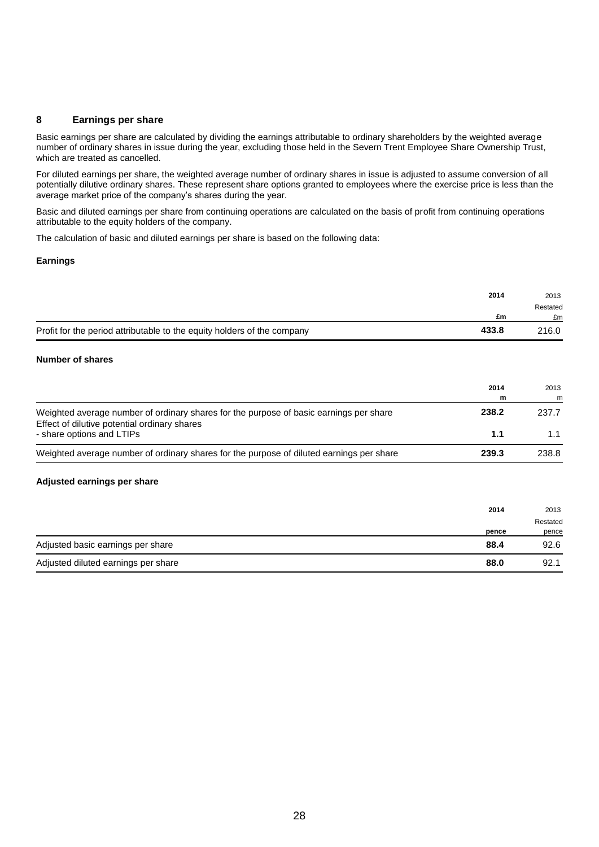### **8 Earnings per share**

Basic earnings per share are calculated by dividing the earnings attributable to ordinary shareholders by the weighted average number of ordinary shares in issue during the year, excluding those held in the Severn Trent Employee Share Ownership Trust, which are treated as cancelled.

For diluted earnings per share, the weighted average number of ordinary shares in issue is adjusted to assume conversion of all potentially dilutive ordinary shares. These represent share options granted to employees where the exercise price is less than the average market price of the company's shares during the year.

Basic and diluted earnings per share from continuing operations are calculated on the basis of profit from continuing operations attributable to the equity holders of the company.

The calculation of basic and diluted earnings per share is based on the following data:

#### **Earnings**

|                                                                         | 2014  | 2013     |
|-------------------------------------------------------------------------|-------|----------|
|                                                                         |       | Restated |
|                                                                         | £m    | £m       |
| Profit for the period attributable to the equity holders of the company | 433.8 | 216.0    |

#### **Number of shares**

|                                                                                                                                        | 2014<br>m | 2013<br>m |
|----------------------------------------------------------------------------------------------------------------------------------------|-----------|-----------|
| Weighted average number of ordinary shares for the purpose of basic earnings per share<br>Effect of dilutive potential ordinary shares | 238.2     | 237.7     |
| - share options and LTIPs                                                                                                              | 1.1       | 1.1       |
| Weighted average number of ordinary shares for the purpose of diluted earnings per share                                               | 239.3     | 238.8     |

#### **Adjusted earnings per share**

|                                     | 2014  | 2013     |
|-------------------------------------|-------|----------|
|                                     |       | Restated |
|                                     | pence | pence    |
| Adjusted basic earnings per share   | 88.4  | 92.6     |
| Adjusted diluted earnings per share | 88.0  | 92.1     |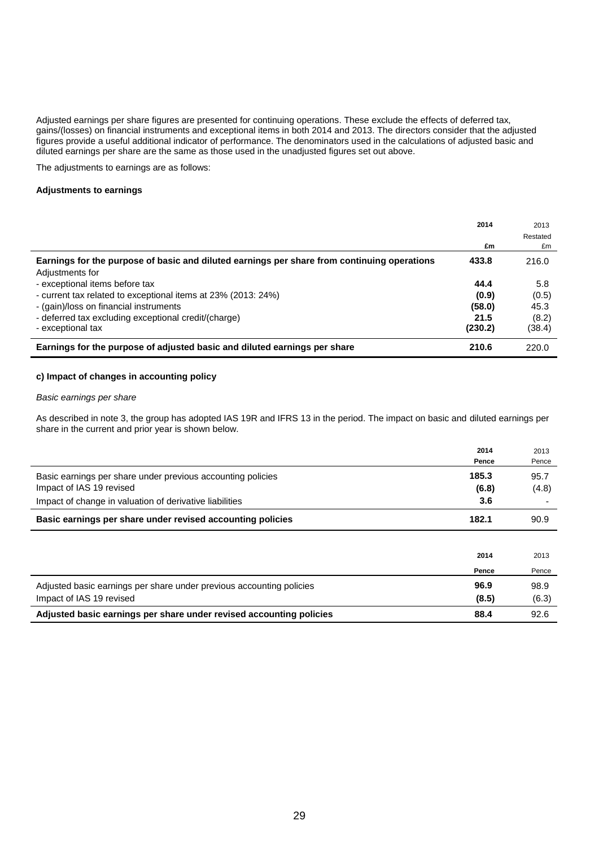Adjusted earnings per share figures are presented for continuing operations. These exclude the effects of deferred tax, gains/(losses) on financial instruments and exceptional items in both 2014 and 2013. The directors consider that the adjusted figures provide a useful additional indicator of performance. The denominators used in the calculations of adjusted basic and diluted earnings per share are the same as those used in the unadjusted figures set out above.

The adjustments to earnings are as follows:

#### **Adjustments to earnings**

|                                                                                             | 2014    | 2013<br>Restated |
|---------------------------------------------------------------------------------------------|---------|------------------|
|                                                                                             | £m      | £m               |
| Earnings for the purpose of basic and diluted earnings per share from continuing operations | 433.8   | 216.0            |
| Adjustments for<br>- exceptional items before tax                                           | 44.4    | 5.8              |
| - current tax related to exceptional items at 23% (2013: 24%)                               | (0.9)   | (0.5)            |
| - (gain)/loss on financial instruments                                                      | (58.0)  | 45.3             |
| - deferred tax excluding exceptional credit/(charge)                                        | 21.5    | (8.2)            |
| - exceptional tax                                                                           | (230.2) | (38.4)           |
| Earnings for the purpose of adjusted basic and diluted earnings per share                   | 210.6   | 220.0            |

#### **c) Impact of changes in accounting policy**

#### *Basic earnings per share*

As described in note 3, the group has adopted IAS 19R and IFRS 13 in the period. The impact on basic and diluted earnings per share in the current and prior year is shown below.

|                                                                                         | 2014           | 2013          |
|-----------------------------------------------------------------------------------------|----------------|---------------|
|                                                                                         | Pence          | Pence         |
| Basic earnings per share under previous accounting policies<br>Impact of IAS 19 revised | 185.3<br>(6.8) | 95.7<br>(4.8) |
| Impact of change in valuation of derivative liabilities                                 | 3.6            |               |
| Basic earnings per share under revised accounting policies                              | 182.1          | 90.9          |
|                                                                                         |                |               |
|                                                                                         | 2014           | 2013          |
|                                                                                         | Pence          | Pence         |
| Adjusted basic earnings per share under previous accounting policies                    | 96.9           | 98.9          |

Impact of IAS 19 revised **(8.5)** (6.3) **Adjusted basic earnings per share under revised accounting policies 88.4** 92.6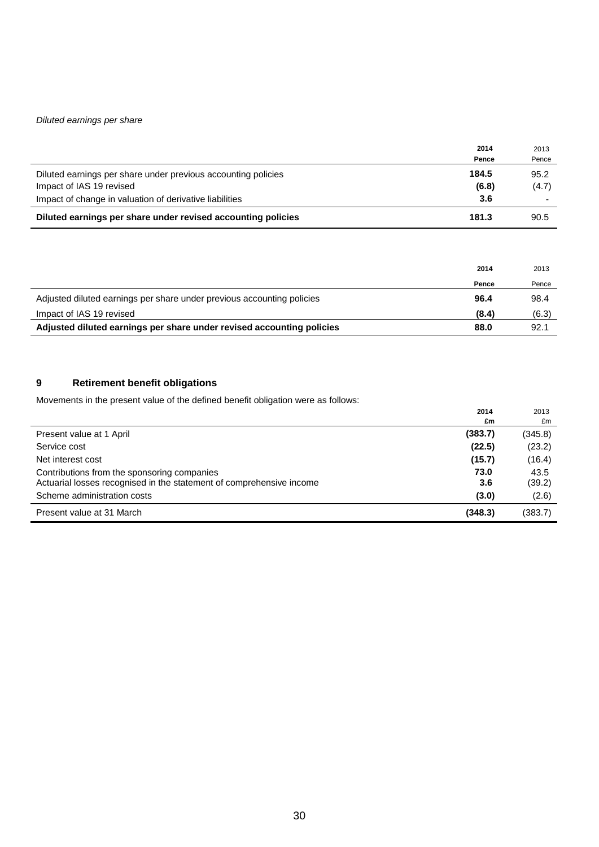### *Diluted earnings per share*

|                                                               | 2014  | 2013  |
|---------------------------------------------------------------|-------|-------|
|                                                               | Pence | Pence |
| Diluted earnings per share under previous accounting policies | 184.5 | 95.2  |
| Impact of IAS 19 revised                                      | (6.8) | (4.7) |
| Impact of change in valuation of derivative liabilities       | 3.6   |       |
| Diluted earnings per share under revised accounting policies  | 181.3 | 90.5  |

|                                                                        | 2014  | 2013  |
|------------------------------------------------------------------------|-------|-------|
|                                                                        | Pence | Pence |
| Adjusted diluted earnings per share under previous accounting policies | 96.4  | 98.4  |
| Impact of IAS 19 revised                                               | (8.4) | (6.3) |
| Adjusted diluted earnings per share under revised accounting policies  | 88.0  | 92.1  |

# **9 Retirement benefit obligations**

Movements in the present value of the defined benefit obligation were as follows:

|                                                                                                                     | 2014<br>£m  | 2013<br>£m     |
|---------------------------------------------------------------------------------------------------------------------|-------------|----------------|
| Present value at 1 April                                                                                            | (383.7)     | (345.8)        |
| Service cost                                                                                                        | (22.5)      | (23.2)         |
| Net interest cost                                                                                                   | (15.7)      | (16.4)         |
| Contributions from the sponsoring companies<br>Actuarial losses recognised in the statement of comprehensive income | 73.0<br>3.6 | 43.5<br>(39.2) |
| Scheme administration costs                                                                                         | (3.0)       | (2.6)          |
| Present value at 31 March                                                                                           | (348.3)     | (383.7)        |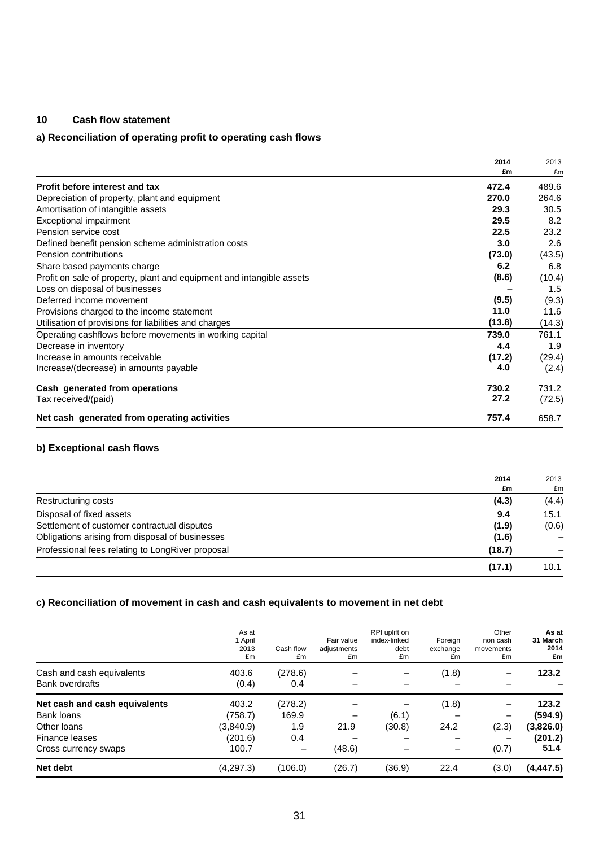### **10 Cash flow statement**

# **a) Reconciliation of operating profit to operating cash flows**

|                                                                       | 2014   | 2013   |
|-----------------------------------------------------------------------|--------|--------|
|                                                                       | £m     | £m     |
| Profit before interest and tax                                        | 472.4  | 489.6  |
| Depreciation of property, plant and equipment                         | 270.0  | 264.6  |
| Amortisation of intangible assets                                     | 29.3   | 30.5   |
| Exceptional impairment                                                | 29.5   | 8.2    |
| Pension service cost                                                  | 22.5   | 23.2   |
| Defined benefit pension scheme administration costs                   | 3.0    | 2.6    |
| Pension contributions                                                 | (73.0) | (43.5) |
| Share based payments charge                                           | 6.2    | 6.8    |
| Profit on sale of property, plant and equipment and intangible assets | (8.6)  | (10.4) |
| Loss on disposal of businesses                                        |        | 1.5    |
| Deferred income movement                                              | (9.5)  | (9.3)  |
| Provisions charged to the income statement                            | 11.0   | 11.6   |
| Utilisation of provisions for liabilities and charges                 | (13.8) | (14.3) |
| Operating cashflows before movements in working capital               | 739.0  | 761.1  |
| Decrease in inventory                                                 | 4.4    | 1.9    |
| Increase in amounts receivable                                        | (17.2) | (29.4) |
| Increase/(decrease) in amounts payable                                | 4.0    | (2.4)  |
| Cash generated from operations                                        | 730.2  | 731.2  |
| Tax received/(paid)                                                   | 27.2   | (72.5) |
| Net cash generated from operating activities                          | 757.4  | 658.7  |

# **b) Exceptional cash flows**

|                                                  | 2014   | 2013  |
|--------------------------------------------------|--------|-------|
|                                                  | £m     | £m    |
| Restructuring costs                              | (4.3)  | (4.4) |
| Disposal of fixed assets                         | 9.4    | 15.1  |
| Settlement of customer contractual disputes      | (1.9)  | (0.6) |
| Obligations arising from disposal of businesses  | (1.6)  |       |
| Professional fees relating to LongRiver proposal | (18.7) |       |
|                                                  | (17.1) | 10.1  |

### **c) Reconciliation of movement in cash and cash equivalents to movement in net debt**

|                                                     | As at<br>1 April<br>2013<br>£m | Cash flow<br>£m | Fair value<br>adjustments<br>£m | RPI uplift on<br>index-linked<br>debt<br>£m | Foreign<br>exchange<br>£m | Other<br>non cash<br>movements<br>£m | As at<br>31 March<br>2014<br>£m |
|-----------------------------------------------------|--------------------------------|-----------------|---------------------------------|---------------------------------------------|---------------------------|--------------------------------------|---------------------------------|
| Cash and cash equivalents<br><b>Bank overdrafts</b> | 403.6<br>(0.4)                 | (278.6)<br>0.4  |                                 |                                             | (1.8)                     |                                      | 123.2                           |
| Net cash and cash equivalents                       | 403.2                          | (278.2)         |                                 |                                             | (1.8)                     |                                      | 123.2                           |
| Bank loans                                          | (758.7)                        | 169.9           |                                 | (6.1)                                       |                           |                                      | (594.9)                         |
| Other loans                                         | (3,840.9)                      | 1.9             | 21.9                            | (30.8)                                      | 24.2                      | (2.3)                                | (3,826.0)                       |
| Finance leases                                      | (201.6)                        | 0.4             |                                 |                                             |                           |                                      | (201.2)                         |
| Cross currency swaps                                | 100.7                          |                 | (48.6)                          |                                             |                           | (0.7)                                | 51.4                            |
| Net debt                                            | (4, 297.3)                     | (106.0)         | (26.7)                          | (36.9)                                      | 22.4                      | (3.0)                                | (4,447.5)                       |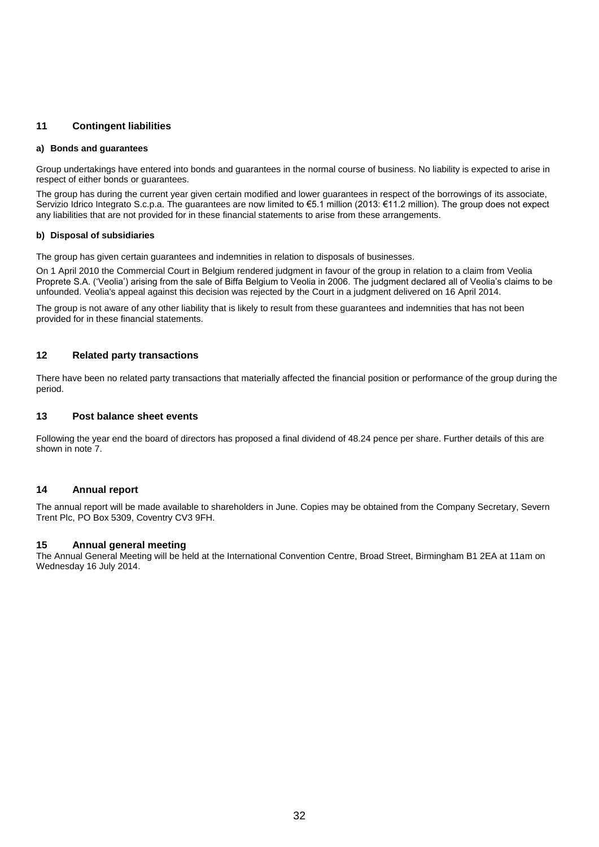### **11 Contingent liabilities**

#### **a) Bonds and guarantees**

Group undertakings have entered into bonds and guarantees in the normal course of business. No liability is expected to arise in respect of either bonds or guarantees.

The group has during the current year given certain modified and lower guarantees in respect of the borrowings of its associate, Servizio Idrico Integrato S.c.p.a. The guarantees are now limited to €5.1 million (2013: €11.2 million). The group does not expect any liabilities that are not provided for in these financial statements to arise from these arrangements.

#### **b) Disposal of subsidiaries**

The group has given certain guarantees and indemnities in relation to disposals of businesses.

On 1 April 2010 the Commercial Court in Belgium rendered judgment in favour of the group in relation to a claim from Veolia Proprete S.A. ('Veolia') arising from the sale of Biffa Belgium to Veolia in 2006. The judgment declared all of Veolia's claims to be unfounded. Veolia's appeal against this decision was rejected by the Court in a judgment delivered on 16 April 2014.

The group is not aware of any other liability that is likely to result from these guarantees and indemnities that has not been provided for in these financial statements.

#### **12 Related party transactions**

There have been no related party transactions that materially affected the financial position or performance of the group during the period.

#### **13 Post balance sheet events**

Following the year end the board of directors has proposed a final dividend of 48.24 pence per share. Further details of this are shown in note 7.

#### **14 Annual report**

The annual report will be made available to shareholders in June. Copies may be obtained from the Company Secretary, Severn Trent Plc, PO Box 5309, Coventry CV3 9FH.

#### **15 Annual general meeting**

The Annual General Meeting will be held at the International Convention Centre, Broad Street, Birmingham B1 2EA at 11am on Wednesday 16 July 2014.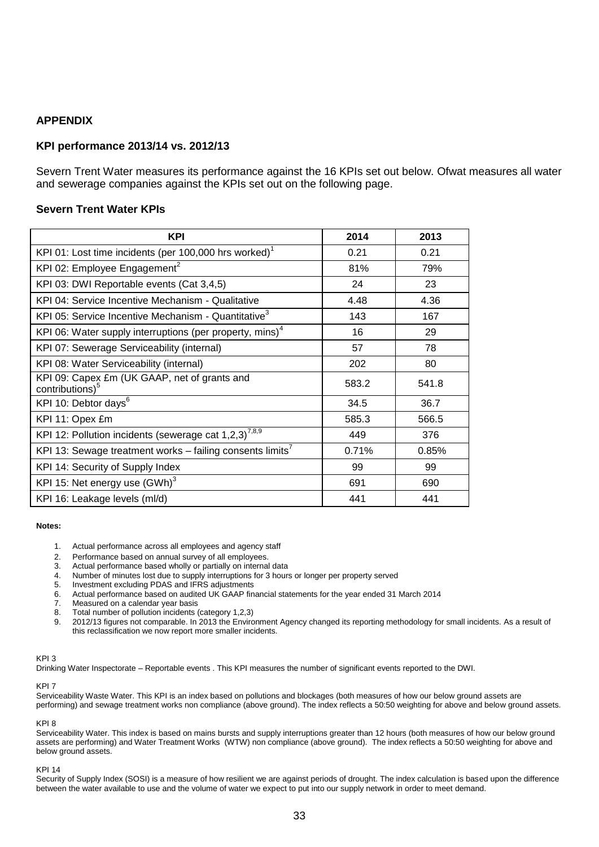### **APPENDIX**

### **KPI performance 2013/14 vs. 2012/13**

Severn Trent Water measures its performance against the 16 KPIs set out below. Ofwat measures all water and sewerage companies against the KPIs set out on the following page.

### **Severn Trent Water KPIs**

| <b>KPI</b>                                                                  | 2014  | 2013  |
|-----------------------------------------------------------------------------|-------|-------|
| KPI 01: Lost time incidents (per 100,000 hrs worked) <sup>1</sup>           | 0.21  | 0.21  |
| KPI 02: Employee Engagement <sup>2</sup>                                    | 81%   | 79%   |
| KPI 03: DWI Reportable events (Cat 3,4,5)                                   | 24    | 23    |
| KPI 04: Service Incentive Mechanism - Qualitative                           | 4.48  | 4.36  |
| KPI 05: Service Incentive Mechanism - Quantitative <sup>3</sup>             | 143   | 167   |
| KPI 06: Water supply interruptions (per property, mins) <sup>4</sup>        | 16    | 29    |
| KPI 07: Sewerage Serviceability (internal)                                  | 57    | 78    |
| KPI 08: Water Serviceability (internal)                                     | 202   | 80    |
| KPI 09: Capex £m (UK GAAP, net of grants and<br>contributions) <sup>5</sup> | 583.2 | 541.8 |
| KPI 10: Debtor days <sup>6</sup>                                            | 34.5  | 36.7  |
| KPI 11: Opex £m                                                             | 585.3 | 566.5 |
| KPI 12: Pollution incidents (sewerage cat $1,2,3$ ) <sup>7,8,9</sup>        | 449   | 376   |
| KPI 13: Sewage treatment works - failing consents limits <sup>7</sup>       | 0.71% | 0.85% |
| KPI 14: Security of Supply Index                                            | 99    | 99    |
| KPI 15: Net energy use (GWh) <sup>3</sup>                                   | 691   | 690   |
| KPI 16: Leakage levels (ml/d)                                               | 441   | 441   |

#### **Notes:**

- 1. Actual performance across all employees and agency staff
- 2. Performance based on annual survey of all employees.
- 3. Actual performance based wholly or partially on internal data

4. Number of minutes lost due to supply interruptions for 3 hours or longer per property served<br>5. Investment excluding PDAS and IFRS adjustments

- 5. Investment excluding PDAS and IFRS adjustments<br>6. Actual performance based on audited LIK GAAP fin
- 6. Actual performance based on audited UK GAAP financial statements for the year ended 31 March 2014
- 7. Measured on a calendar year basis
- 8. Total number of pollution incidents (category 1,2,3)<br>9. 2012/13 figures not comparable. In 2013 the Enviro
- 9. 2012/13 figures not comparable. In 2013 the Environment Agency changed its reporting methodology for small incidents. As a result of this reclassification we now report more smaller incidents.

#### KPI 3

Drinking Water Inspectorate – Reportable events . This KPI measures the number of significant events reported to the DWI.

#### KPI 7

Serviceability Waste Water. This KPI is an index based on pollutions and blockages (both measures of how our below ground assets are performing) and sewage treatment works non compliance (above ground). The index reflects a 50:50 weighting for above and below ground assets.

#### KPI 8

Serviceability Water. This index is based on mains bursts and supply interruptions greater than 12 hours (both measures of how our below ground assets are performing) and Water Treatment Works (WTW) non compliance (above ground). The index reflects a 50:50 weighting for above and below ground assets.

#### KPI 14

Security of Supply Index (SOSI) is a measure of how resilient we are against periods of drought. The index calculation is based upon the difference between the water available to use and the volume of water we expect to put into our supply network in order to meet demand.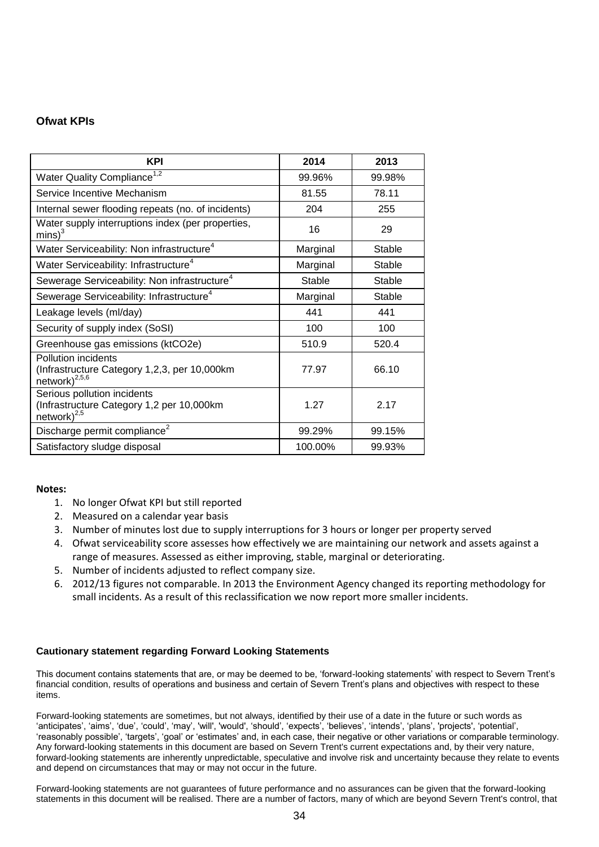### **Ofwat KPIs**

| <b>KPI</b>                                                                                       | 2014          | 2013   |
|--------------------------------------------------------------------------------------------------|---------------|--------|
| Water Quality Compliance <sup>1,2</sup>                                                          | 99.96%        | 99.98% |
| Service Incentive Mechanism                                                                      | 81.55         | 78.11  |
| Internal sewer flooding repeats (no. of incidents)                                               | 204           | 255    |
| Water supply interruptions index (per properties,<br>$mins$ <sup>3</sup>                         | 16            | 29     |
| Water Serviceability: Non infrastructure <sup>4</sup>                                            | Marginal      | Stable |
| Water Serviceability: Infrastructure <sup>4</sup>                                                | Marginal      | Stable |
| Sewerage Serviceability: Non infrastructure <sup>4</sup>                                         | <b>Stable</b> | Stable |
| Sewerage Serviceability: Infrastructure <sup>4</sup>                                             | Marginal      | Stable |
| Leakage levels (ml/day)                                                                          | 441           | 441    |
| Security of supply index (SoSI)                                                                  | 100           | 100    |
| Greenhouse gas emissions (ktCO2e)                                                                | 510.9         | 520.4  |
| Pollution incidents<br>(Infrastructure Category 1,2,3, per 10,000km<br>network) <sup>2,5,6</sup> | 77.97         | 66.10  |
| Serious pollution incidents<br>(Infrastructure Category 1,2 per 10,000km<br>network $)^{2,5}$    | 1.27          | 2.17   |
| Discharge permit compliance <sup>2</sup>                                                         | 99.29%        | 99.15% |
| Satisfactory sludge disposal                                                                     | 100.00%       | 99.93% |

### **Notes:**

- 1. No longer Ofwat KPI but still reported
- 2. Measured on a calendar year basis
- 3. Number of minutes lost due to supply interruptions for 3 hours or longer per property served
- 4. Ofwat serviceability score assesses how effectively we are maintaining our network and assets against a range of measures. Assessed as either improving, stable, marginal or deteriorating.
- 5. Number of incidents adjusted to reflect company size.
- 6. 2012/13 figures not comparable. In 2013 the Environment Agency changed its reporting methodology for small incidents. As a result of this reclassification we now report more smaller incidents.

### **Cautionary statement regarding Forward Looking Statements**

This document contains statements that are, or may be deemed to be, 'forward-looking statements' with respect to Severn Trent's financial condition, results of operations and business and certain of Severn Trent's plans and objectives with respect to these items.

Forward-looking statements are sometimes, but not always, identified by their use of a date in the future or such words as 'anticipates', 'aims', 'due', 'could', 'may', 'will', 'would', 'should', 'expects', 'believes', 'intends', 'plans', 'projects', 'potential', 'reasonably possible', 'targets', 'goal' or 'estimates' and, in each case, their negative or other variations or comparable terminology. Any forward-looking statements in this document are based on Severn Trent's current expectations and, by their very nature, forward-looking statements are inherently unpredictable, speculative and involve risk and uncertainty because they relate to events and depend on circumstances that may or may not occur in the future.

Forward-looking statements are not guarantees of future performance and no assurances can be given that the forward-looking statements in this document will be realised. There are a number of factors, many of which are beyond Severn Trent's control, that